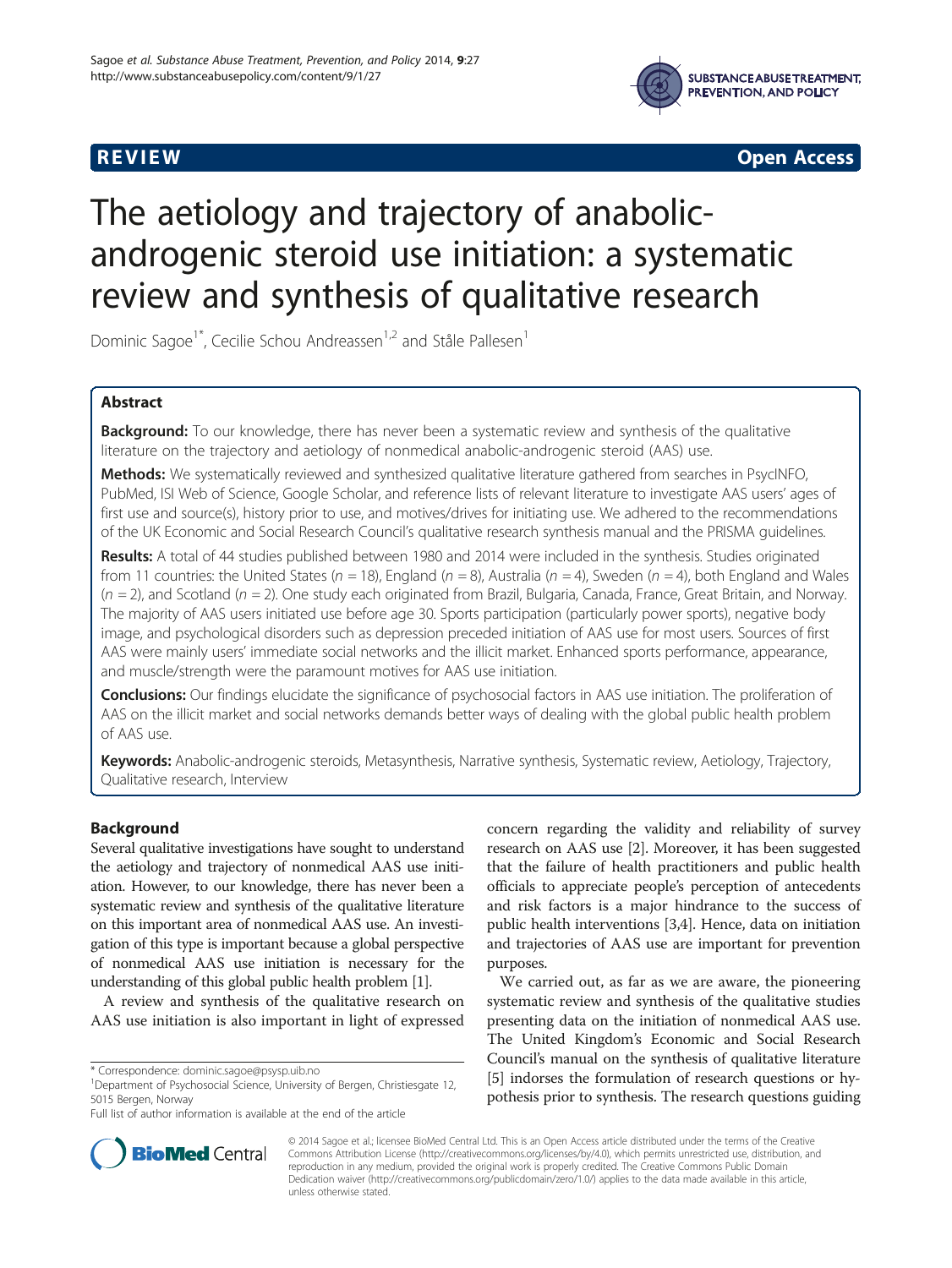



**REVIEW REVIEW CONSTRUCTER ACCESS** 

# The aetiology and trajectory of anabolicandrogenic steroid use initiation: a systematic review and synthesis of qualitative research

Dominic Sagoe<sup>1\*</sup>, Cecilie Schou Andreassen<sup>1,2</sup> and Ståle Pallesen<sup>1</sup>

# Abstract

Background: To our knowledge, there has never been a systematic review and synthesis of the qualitative literature on the trajectory and aetiology of nonmedical anabolic-androgenic steroid (AAS) use.

Methods: We systematically reviewed and synthesized qualitative literature gathered from searches in PsycINFO, PubMed, ISI Web of Science, Google Scholar, and reference lists of relevant literature to investigate AAS users' ages of first use and source(s), history prior to use, and motives/drives for initiating use. We adhered to the recommendations of the UK Economic and Social Research Council's qualitative research synthesis manual and the PRISMA guidelines.

Results: A total of 44 studies published between 1980 and 2014 were included in the synthesis. Studies originated from 11 countries: the United States ( $n = 18$ ), England ( $n = 8$ ), Australia ( $n = 4$ ), Sweden ( $n = 4$ ), both England and Wales  $(n = 2)$ , and Scotland ( $n = 2$ ). One study each originated from Brazil, Bulgaria, Canada, France, Great Britain, and Norway. The majority of AAS users initiated use before age 30. Sports participation (particularly power sports), negative body image, and psychological disorders such as depression preceded initiation of AAS use for most users. Sources of first AAS were mainly users' immediate social networks and the illicit market. Enhanced sports performance, appearance, and muscle/strength were the paramount motives for AAS use initiation.

Conclusions: Our findings elucidate the significance of psychosocial factors in AAS use initiation. The proliferation of AAS on the illicit market and social networks demands better ways of dealing with the global public health problem of AAS use.

Keywords: Anabolic-androgenic steroids, Metasynthesis, Narrative synthesis, Systematic review, Aetiology, Trajectory, Qualitative research, Interview

# Background

Several qualitative investigations have sought to understand the aetiology and trajectory of nonmedical AAS use initiation. However, to our knowledge, there has never been a systematic review and synthesis of the qualitative literature on this important area of nonmedical AAS use. An investigation of this type is important because a global perspective of nonmedical AAS use initiation is necessary for the understanding of this global public health problem [[1\]](#page-12-0).

A review and synthesis of the qualitative research on AAS use initiation is also important in light of expressed concern regarding the validity and reliability of survey research on AAS use [[2\]](#page-12-0). Moreover, it has been suggested that the failure of health practitioners and public health officials to appreciate people's perception of antecedents and risk factors is a major hindrance to the success of public health interventions [[3,4](#page-12-0)]. Hence, data on initiation and trajectories of AAS use are important for prevention purposes.

We carried out, as far as we are aware, the pioneering systematic review and synthesis of the qualitative studies presenting data on the initiation of nonmedical AAS use. The United Kingdom's Economic and Social Research Council's manual on the synthesis of qualitative literature [[5\]](#page-12-0) indorses the formulation of research questions or hypothesis prior to synthesis. The research questions guiding



© 2014 Sagoe et al.; licensee BioMed Central Ltd. This is an Open Access article distributed under the terms of the Creative Commons Attribution License [\(http://creativecommons.org/licenses/by/4.0\)](http://creativecommons.org/licenses/by/4.0), which permits unrestricted use, distribution, and reproduction in any medium, provided the original work is properly credited. The Creative Commons Public Domain Dedication waiver [\(http://creativecommons.org/publicdomain/zero/1.0/](http://creativecommons.org/publicdomain/zero/1.0/)) applies to the data made available in this article, unless otherwise stated.

<sup>\*</sup> Correspondence: [dominic.sagoe@psysp.uib.no](mailto:dominic.sagoe@psysp.uib.no) <sup>1</sup>

<sup>&</sup>lt;sup>1</sup>Department of Psychosocial Science, University of Bergen, Christiesgate 12, 5015 Bergen, Norway

Full list of author information is available at the end of the article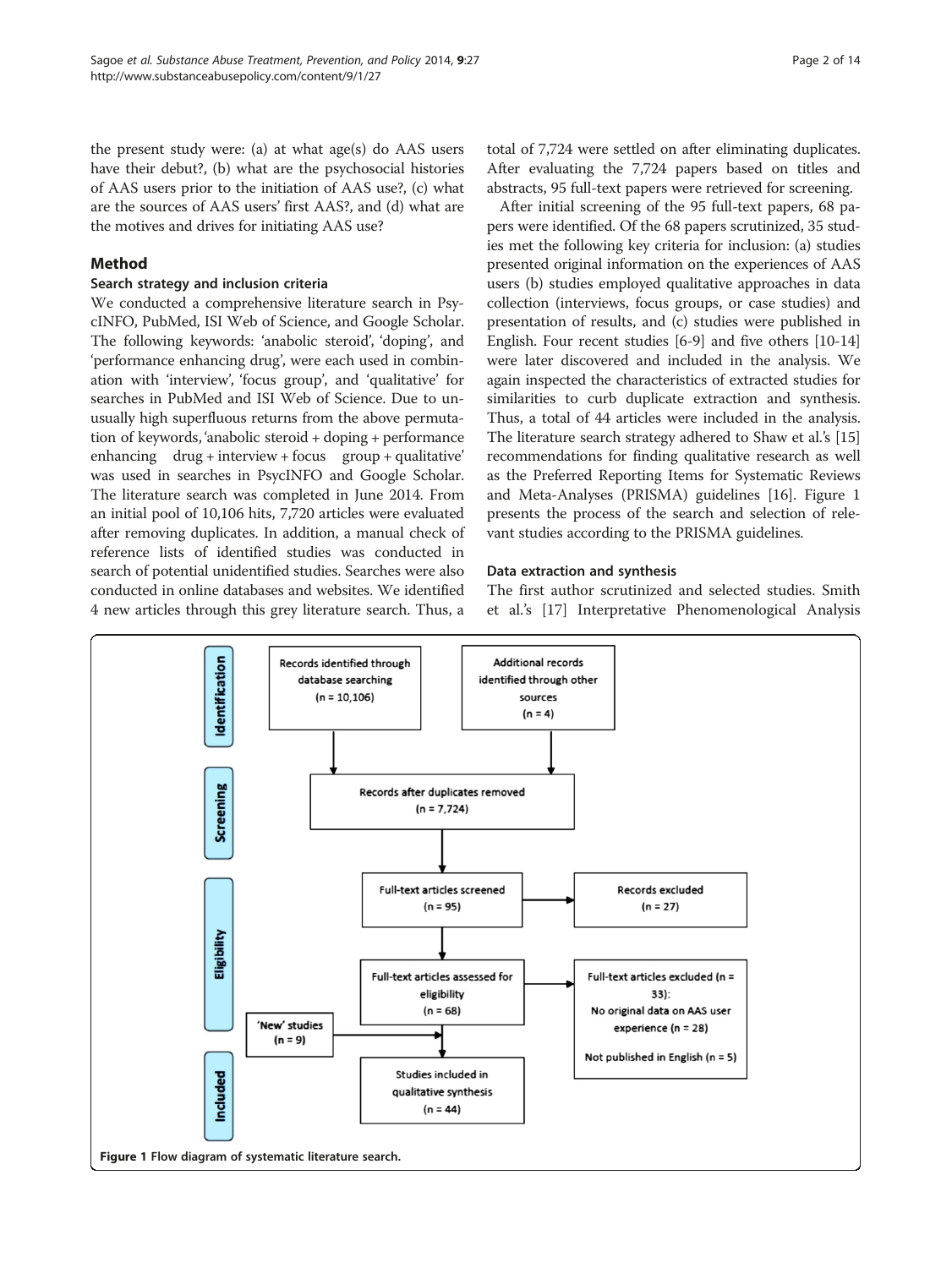the present study were: (a) at what age(s) do AAS users have their debut?, (b) what are the psychosocial histories of AAS users prior to the initiation of AAS use?, (c) what are the sources of AAS users' first AAS?, and (d) what are the motives and drives for initiating AAS use?

# Method

## Search strategy and inclusion criteria

We conducted a comprehensive literature search in PsycINFO, PubMed, ISI Web of Science, and Google Scholar. The following keywords: 'anabolic steroid', 'doping', and 'performance enhancing drug', were each used in combination with 'interview', 'focus group', and 'qualitative' for searches in PubMed and ISI Web of Science. Due to unusually high superfluous returns from the above permutation of keywords, 'anabolic steroid + doping + performance enhancing drug + interview + focus group + qualitative' was used in searches in PsycINFO and Google Scholar. The literature search was completed in June 2014. From an initial pool of 10,106 hits, 7,720 articles were evaluated after removing duplicates. In addition, a manual check of reference lists of identified studies was conducted in search of potential unidentified studies. Searches were also conducted in online databases and websites. We identified 4 new articles through this grey literature search. Thus, a

total of 7,724 were settled on after eliminating duplicates. After evaluating the 7,724 papers based on titles and abstracts, 95 full-text papers were retrieved for screening.

After initial screening of the 95 full-text papers, 68 papers were identified. Of the 68 papers scrutinized, 35 studies met the following key criteria for inclusion: (a) studies presented original information on the experiences of AAS users (b) studies employed qualitative approaches in data collection (interviews, focus groups, or case studies) and presentation of results, and (c) studies were published in English. Four recent studies [\[6-9](#page-12-0)] and five others [[10](#page-12-0)-[14](#page-12-0)] were later discovered and included in the analysis. We again inspected the characteristics of extracted studies for similarities to curb duplicate extraction and synthesis. Thus, a total of 44 articles were included in the analysis. The literature search strategy adhered to Shaw et al.'s [[15](#page-12-0)] recommendations for finding qualitative research as well as the Preferred Reporting Items for Systematic Reviews and Meta-Analyses (PRISMA) guidelines [[16](#page-12-0)]. Figure 1 presents the process of the search and selection of relevant studies according to the PRISMA guidelines.

## Data extraction and synthesis

The first author scrutinized and selected studies. Smith et al.'s [\[17](#page-12-0)] Interpretative Phenomenological Analysis

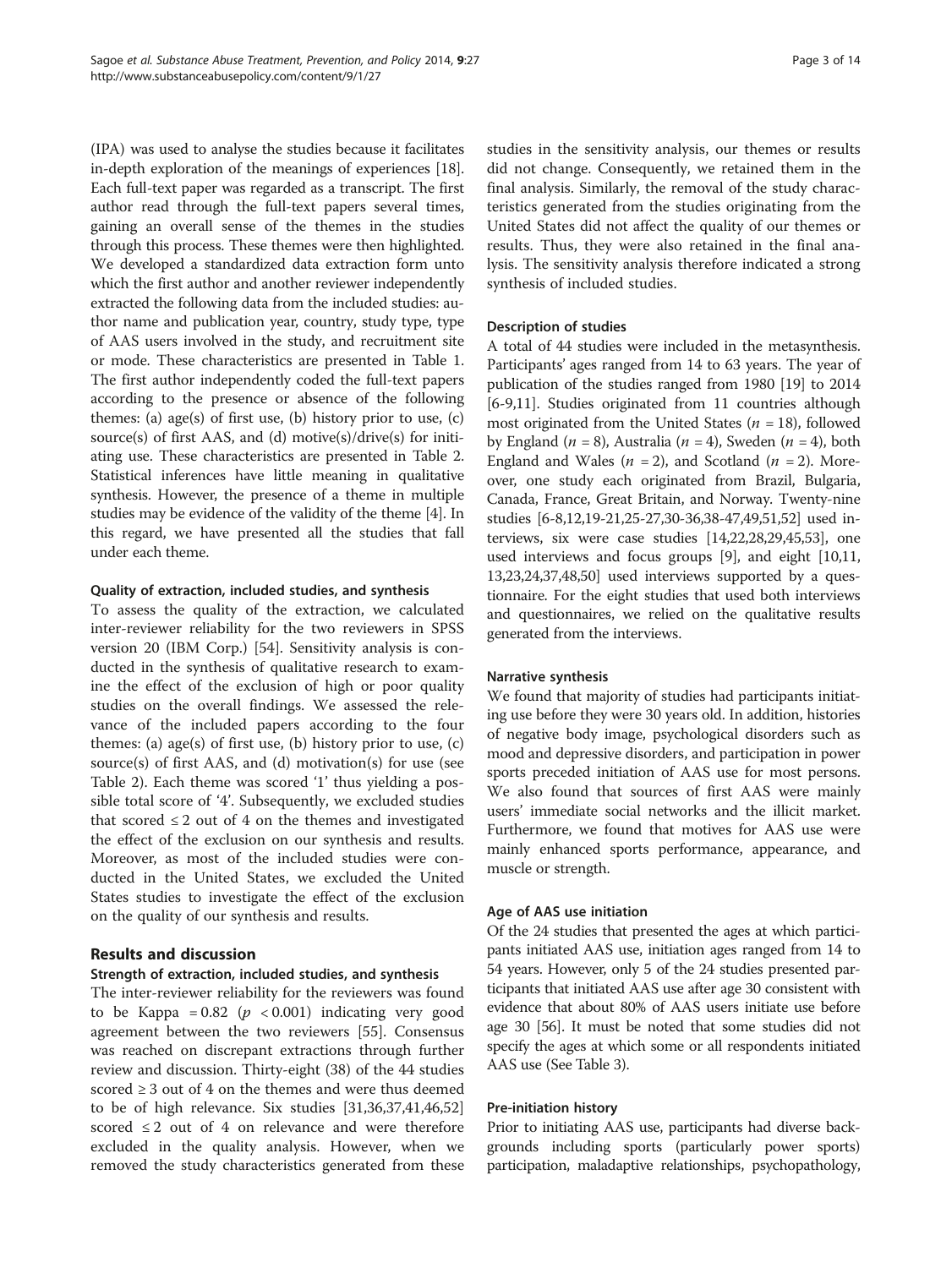(IPA) was used to analyse the studies because it facilitates in-depth exploration of the meanings of experiences [[18](#page-12-0)]. Each full-text paper was regarded as a transcript. The first author read through the full-text papers several times, gaining an overall sense of the themes in the studies through this process. These themes were then highlighted. We developed a standardized data extraction form unto which the first author and another reviewer independently extracted the following data from the included studies: author name and publication year, country, study type, type of AAS users involved in the study, and recruitment site or mode. These characteristics are presented in Table [1](#page-3-0). The first author independently coded the full-text papers according to the presence or absence of the following themes: (a)  $age(s)$  of first use, (b) history prior to use, (c) source(s) of first AAS, and (d) motive(s)/drive(s) for initiating use. These characteristics are presented in Table [2](#page-5-0). Statistical inferences have little meaning in qualitative synthesis. However, the presence of a theme in multiple studies may be evidence of the validity of the theme [\[4](#page-12-0)]. In this regard, we have presented all the studies that fall under each theme.

## Quality of extraction, included studies, and synthesis

To assess the quality of the extraction, we calculated inter-reviewer reliability for the two reviewers in SPSS version 20 (IBM Corp.) [\[54\]](#page-13-0). Sensitivity analysis is conducted in the synthesis of qualitative research to examine the effect of the exclusion of high or poor quality studies on the overall findings. We assessed the relevance of the included papers according to the four themes: (a)  $age(s)$  of first use, (b) history prior to use, (c) source(s) of first AAS, and (d) motivation(s) for use (see Table [2](#page-5-0)). Each theme was scored '1' thus yielding a possible total score of '4'. Subsequently, we excluded studies that scored  $\leq 2$  out of 4 on the themes and investigated the effect of the exclusion on our synthesis and results. Moreover, as most of the included studies were conducted in the United States, we excluded the United States studies to investigate the effect of the exclusion on the quality of our synthesis and results.

# Results and discussion

## Strength of extraction, included studies, and synthesis

The inter-reviewer reliability for the reviewers was found to be Kappa =  $0.82$  ( $p < 0.001$ ) indicating very good agreement between the two reviewers [[55\]](#page-13-0). Consensus was reached on discrepant extractions through further review and discussion. Thirty-eight (38) of the 44 studies scored  $\geq 3$  out of 4 on the themes and were thus deemed to be of high relevance. Six studies [[31,36,37](#page-12-0),[41](#page-12-0),[46](#page-12-0),[52](#page-13-0)] scored  $\leq 2$  out of 4 on relevance and were therefore excluded in the quality analysis. However, when we removed the study characteristics generated from these

studies in the sensitivity analysis, our themes or results did not change. Consequently, we retained them in the final analysis. Similarly, the removal of the study characteristics generated from the studies originating from the United States did not affect the quality of our themes or results. Thus, they were also retained in the final analysis. The sensitivity analysis therefore indicated a strong synthesis of included studies.

## Description of studies

A total of 44 studies were included in the metasynthesis. Participants' ages ranged from 14 to 63 years. The year of publication of the studies ranged from 1980 [\[19\]](#page-12-0) to 2014 [[6-9,11\]](#page-12-0). Studies originated from 11 countries although most originated from the United States ( $n = 18$ ), followed by England ( $n = 8$ ), Australia ( $n = 4$ ), Sweden ( $n = 4$ ), both England and Wales ( $n = 2$ ), and Scotland ( $n = 2$ ). Moreover, one study each originated from Brazil, Bulgaria, Canada, France, Great Britain, and Norway. Twenty-nine studies [\[6-8,12,19-21,25-27,30](#page-12-0)-[36,38](#page-12-0)-[47,49](#page-12-0)[,51,52](#page-13-0)] used interviews, six were case studies [\[14,22,28,29,45](#page-12-0)[,53](#page-13-0)], one used interviews and focus groups [\[9](#page-12-0)], and eight [\[10,11](#page-12-0), [13,23,24,37,48](#page-12-0)[,50\]](#page-13-0) used interviews supported by a questionnaire. For the eight studies that used both interviews and questionnaires, we relied on the qualitative results generated from the interviews.

## Narrative synthesis

We found that majority of studies had participants initiating use before they were 30 years old. In addition, histories of negative body image, psychological disorders such as mood and depressive disorders, and participation in power sports preceded initiation of AAS use for most persons. We also found that sources of first AAS were mainly users' immediate social networks and the illicit market. Furthermore, we found that motives for AAS use were mainly enhanced sports performance, appearance, and muscle or strength.

## Age of AAS use initiation

Of the 24 studies that presented the ages at which participants initiated AAS use, initiation ages ranged from 14 to 54 years. However, only 5 of the 24 studies presented participants that initiated AAS use after age 30 consistent with evidence that about 80% of AAS users initiate use before age 30 [[56](#page-13-0)]. It must be noted that some studies did not specify the ages at which some or all respondents initiated AAS use (See Table [3\)](#page-9-0).

## Pre-initiation history

Prior to initiating AAS use, participants had diverse backgrounds including sports (particularly power sports) participation, maladaptive relationships, psychopathology,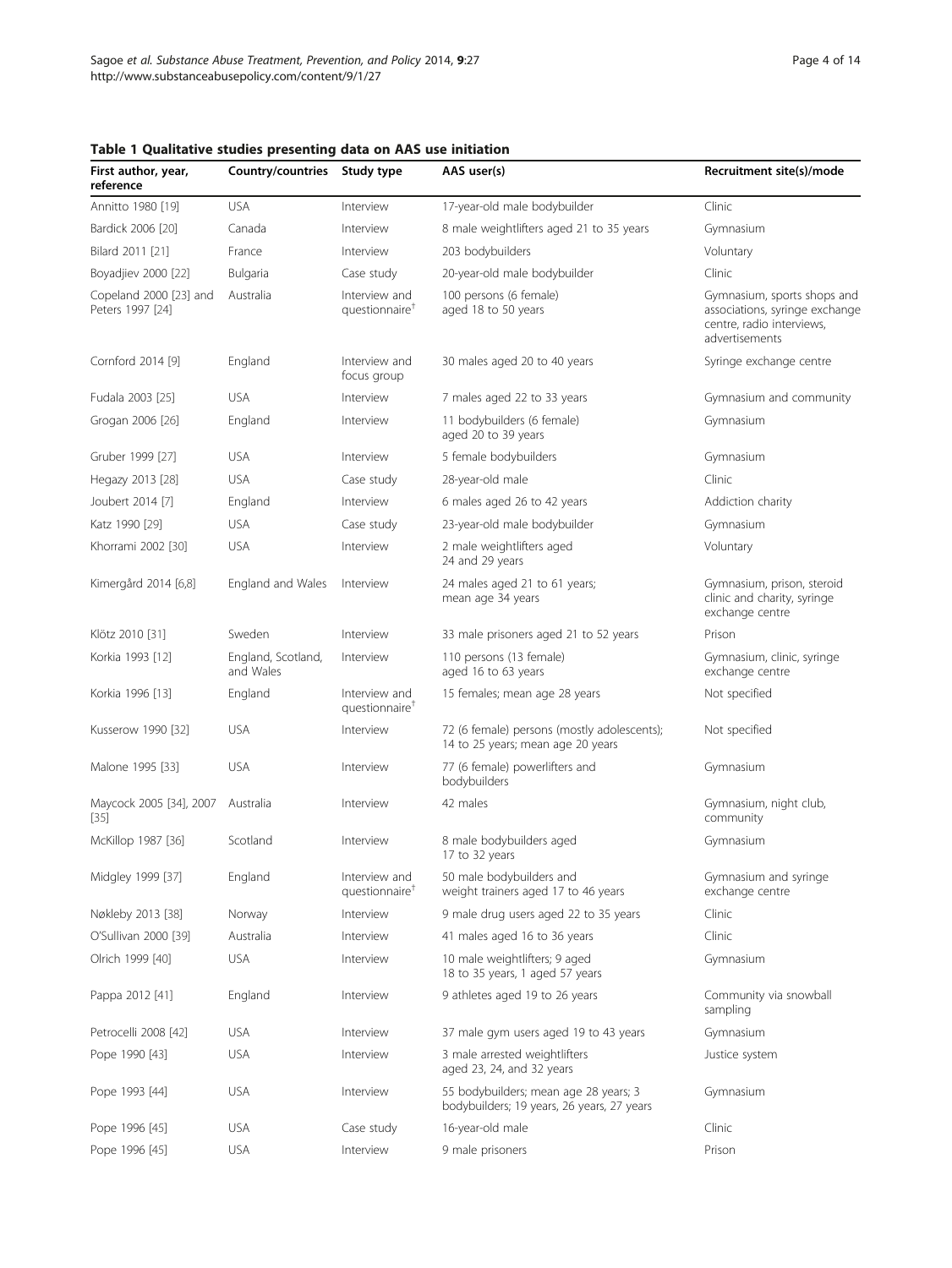| First author, year,<br>reference           | Country/countries Study type    |                                             | AAS user(s)                                                                         | Recruitment site(s)/mode                                                                                     |
|--------------------------------------------|---------------------------------|---------------------------------------------|-------------------------------------------------------------------------------------|--------------------------------------------------------------------------------------------------------------|
| Annitto 1980 [19]                          | <b>USA</b>                      | Interview                                   | 17-year-old male bodybuilder                                                        | Clinic                                                                                                       |
| Bardick 2006 [20]                          | Canada                          | Interview                                   | 8 male weightlifters aged 21 to 35 years                                            | Gymnasium                                                                                                    |
| Bilard 2011 [21]                           | France                          | Interview                                   | 203 bodybuilders                                                                    | Voluntary                                                                                                    |
| Boyadjiev 2000 [22]                        | Bulgaria                        | Case study                                  | 20-year-old male bodybuilder                                                        | Clinic                                                                                                       |
| Copeland 2000 [23] and<br>Peters 1997 [24] | Australia                       | Interview and<br>questionnaire <sup>1</sup> | 100 persons (6 female)<br>aged 18 to 50 years                                       | Gymnasium, sports shops and<br>associations, syringe exchange<br>centre, radio interviews,<br>advertisements |
| Cornford 2014 [9]                          | England                         | Interview and<br>focus group                | 30 males aged 20 to 40 years                                                        | Syringe exchange centre                                                                                      |
| Fudala 2003 [25]                           | <b>USA</b>                      | Interview                                   | 7 males aged 22 to 33 years                                                         | Gymnasium and community                                                                                      |
| Grogan 2006 [26]                           | England                         | Interview                                   | 11 bodybuilders (6 female)<br>aged 20 to 39 years                                   | Gymnasium                                                                                                    |
| Gruber 1999 [27]                           | <b>USA</b>                      | Interview                                   | 5 female bodybuilders                                                               | Gymnasium                                                                                                    |
| Hegazy 2013 [28]                           | <b>USA</b>                      | Case study                                  | 28-year-old male                                                                    | Clinic                                                                                                       |
| Joubert 2014 [7]                           | England                         | Interview                                   | 6 males aged 26 to 42 years                                                         | Addiction charity                                                                                            |
| Katz 1990 [29]                             | <b>USA</b>                      | Case study                                  | 23-year-old male bodybuilder                                                        | Gymnasium                                                                                                    |
| Khorrami 2002 [30]                         | <b>USA</b>                      | Interview                                   | 2 male weightlifters aged<br>24 and 29 years                                        | Voluntary                                                                                                    |
| Kimergård 2014 [6,8]                       | England and Wales               | Interview                                   | 24 males aged 21 to 61 years;<br>mean age 34 years                                  | Gymnasium, prison, steroid<br>clinic and charity, syringe<br>exchange centre                                 |
| Klötz 2010 [31]                            | Sweden                          | Interview                                   | 33 male prisoners aged 21 to 52 years                                               | Prison                                                                                                       |
| Korkia 1993 [12]                           | England, Scotland,<br>and Wales | Interview                                   | 110 persons (13 female)<br>aged 16 to 63 years                                      | Gymnasium, clinic, syringe<br>exchange centre                                                                |
| Korkia 1996 [13]                           | England                         | Interview and<br>questionnaire <sup>†</sup> | 15 females; mean age 28 years                                                       | Not specified                                                                                                |
| Kusserow 1990 [32]                         | <b>USA</b>                      | Interview                                   | 72 (6 female) persons (mostly adolescents);<br>14 to 25 years; mean age 20 years    | Not specified                                                                                                |
| Malone 1995 [33]                           | <b>USA</b>                      | Interview                                   | 77 (6 female) powerlifters and<br>bodybuilders                                      | Gymnasium                                                                                                    |
| Maycock 2005 [34], 2007<br>$[35]$          | Australia                       | Interview                                   | 42 males                                                                            | Gymnasium, night club,<br>community                                                                          |
| McKillop 1987 [36]                         | Scotland                        | Interview                                   | 8 male bodybuilders aged<br>17 to 32 years                                          | Gymnasium                                                                                                    |
| Midgley 1999 [37]                          | England                         | Interview and<br>questionnaire <sup>1</sup> | 50 male bodybuilders and<br>weight trainers aged 17 to 46 years                     | Gymnasium and syringe<br>exchange centre                                                                     |
| Nøkleby 2013 [38]                          | Norway                          | Interview                                   | 9 male drug users aged 22 to 35 years                                               | Clinic                                                                                                       |
| O'Sullivan 2000 [39]                       | Australia                       | Interview                                   | 41 males aged 16 to 36 years                                                        | Clinic                                                                                                       |
| Olrich 1999 [40]                           | <b>USA</b>                      | Interview                                   | 10 male weightlifters; 9 aged<br>18 to 35 years, 1 aged 57 years                    | Gymnasium                                                                                                    |
| Pappa 2012 [41]                            | England                         | Interview                                   | 9 athletes aged 19 to 26 years                                                      | Community via snowball<br>sampling                                                                           |
| Petrocelli 2008 [42]                       | <b>USA</b>                      | Interview                                   | 37 male gym users aged 19 to 43 years                                               | Gymnasium                                                                                                    |
| Pope 1990 [43]                             | <b>USA</b>                      | Interview                                   | 3 male arrested weightlifters<br>aged 23, 24, and 32 years                          | Justice system                                                                                               |
| Pope 1993 [44]                             | <b>USA</b>                      | Interview                                   | 55 bodybuilders; mean age 28 years; 3<br>bodybuilders; 19 years, 26 years, 27 years | Gymnasium                                                                                                    |
| Pope 1996 [45]                             | <b>USA</b>                      | Case study                                  | 16-year-old male                                                                    | Clinic                                                                                                       |
| Pope 1996 [45]                             | <b>USA</b>                      | Interview                                   | 9 male prisoners                                                                    | Prison                                                                                                       |

# <span id="page-3-0"></span>Table 1 Qualitative studies presenting data on AAS use initiation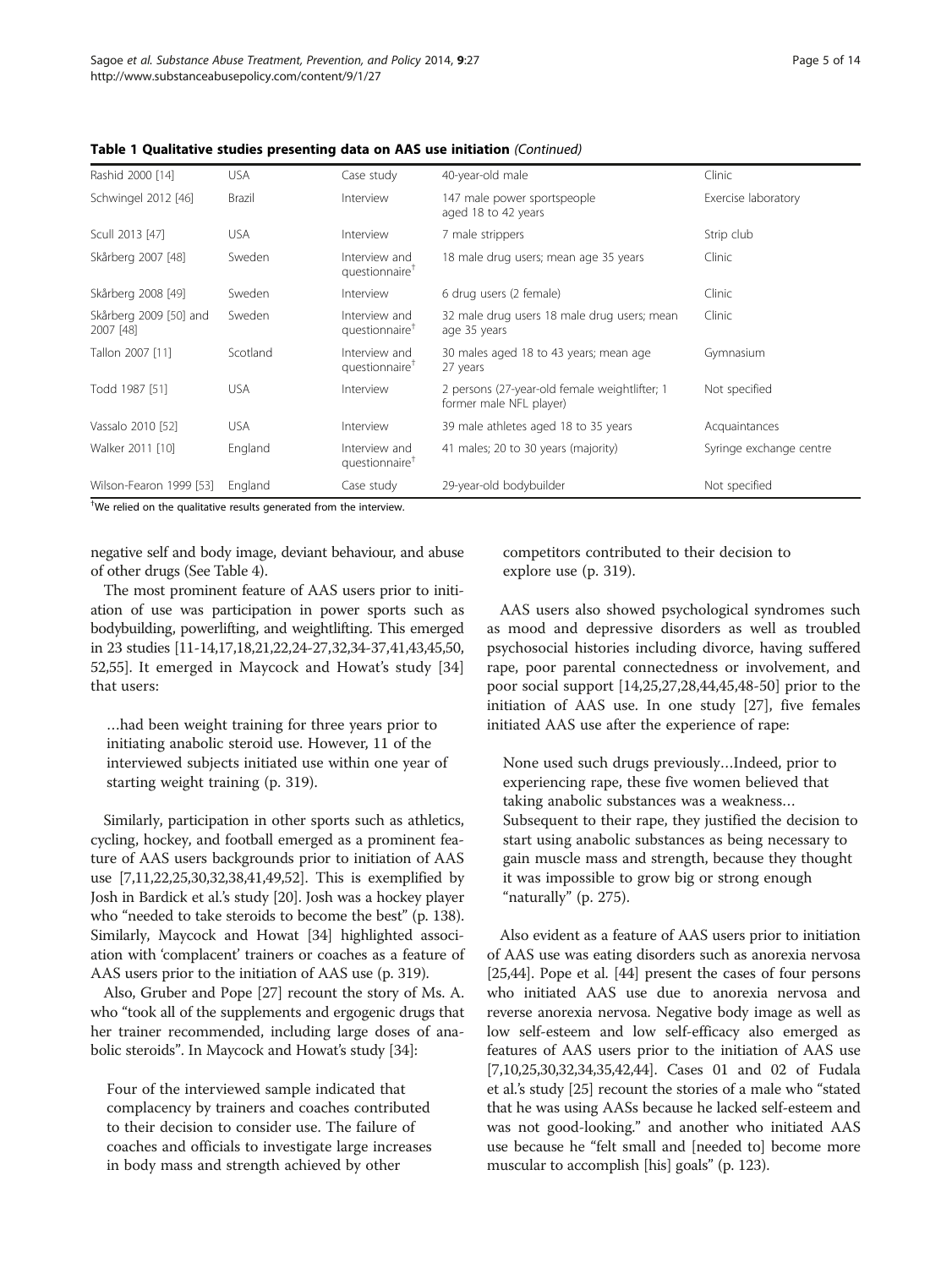| Rashid 2000 [14]                    | <b>USA</b> | Case study                                  | 40-year-old male                                                         | Clinic                  |
|-------------------------------------|------------|---------------------------------------------|--------------------------------------------------------------------------|-------------------------|
| Schwingel 2012 [46]                 | Brazil     | Interview                                   | 147 male power sportspeople<br>aged 18 to 42 years                       | Exercise laboratory     |
| Scull 2013 [47]                     | <b>USA</b> | Interview                                   | 7 male strippers                                                         | Strip club              |
| Skårberg 2007 [48]                  | Sweden     | Interview and<br>questionnaire <sup>†</sup> | 18 male drug users; mean age 35 years                                    | Clinic                  |
| Skårberg 2008 [49]                  | Sweden     | Interview                                   | 6 drug users (2 female)                                                  | Clinic                  |
| Skårberg 2009 [50] and<br>2007 [48] | Sweden     | Interview and<br>questionnaire <sup>T</sup> | 32 male drug users 18 male drug users; mean<br>age 35 years              | Clinic                  |
| Tallon 2007 [11]                    | Scotland   | Interview and<br>questionnaire <sup>†</sup> | 30 males aged 18 to 43 years; mean age<br>27 years                       | Gymnasium               |
| Todd 1987 [51]                      | <b>USA</b> | Interview                                   | 2 persons (27-year-old female weightlifter; 1<br>former male NFL player) | Not specified           |
| Vassalo 2010 [52]                   | <b>USA</b> | Interview                                   | 39 male athletes aged 18 to 35 years                                     | Acquaintances           |
| Walker 2011 [10]                    | England    | Interview and<br>questionnaire <sup>†</sup> | 41 males; 20 to 30 years (majority)                                      | Syringe exchange centre |
| Wilson-Fearon 1999 [53]             | England    | Case study                                  | 29-year-old bodybuilder                                                  | Not specified           |

Table 1 Qualitative studies presenting data on AAS use initiation (Continued)

† We relied on the qualitative results generated from the interview.

negative self and body image, deviant behaviour, and abuse of other drugs (See Table [4](#page-9-0)).

The most prominent feature of AAS users prior to initiation of use was participation in power sports such as bodybuilding, powerlifting, and weightlifting. This emerged in 23 studies [\[11-14,17,18](#page-12-0),[21,22,24](#page-12-0)-[27](#page-12-0),[32,34-37,41,43,45,](#page-12-0)[50](#page-13-0), [52,55\]](#page-13-0). It emerged in Maycock and Howat's study [\[34](#page-12-0)] that users:

…had been weight training for three years prior to initiating anabolic steroid use. However, 11 of the interviewed subjects initiated use within one year of starting weight training (p. 319).

Similarly, participation in other sports such as athletics, cycling, hockey, and football emerged as a prominent feature of AAS users backgrounds prior to initiation of AAS use [[7,11,22,25](#page-12-0),[30,32,38,41,49](#page-12-0)[,52\]](#page-13-0). This is exemplified by Josh in Bardick et al.'s study [[20\]](#page-12-0). Josh was a hockey player who "needed to take steroids to become the best" (p. 138). Similarly, Maycock and Howat [\[34](#page-12-0)] highlighted association with 'complacent' trainers or coaches as a feature of AAS users prior to the initiation of AAS use (p. 319).

Also, Gruber and Pope [\[27\]](#page-12-0) recount the story of Ms. A. who "took all of the supplements and ergogenic drugs that her trainer recommended, including large doses of anabolic steroids". In Maycock and Howat's study [[34](#page-12-0)]:

Four of the interviewed sample indicated that complacency by trainers and coaches contributed to their decision to consider use. The failure of coaches and officials to investigate large increases in body mass and strength achieved by other

competitors contributed to their decision to explore use (p. 319).

AAS users also showed psychological syndromes such as mood and depressive disorders as well as troubled psychosocial histories including divorce, having suffered rape, poor parental connectedness or involvement, and poor social support [\[14,25,27,28,44,45,48-](#page-12-0)[50](#page-13-0)] prior to the initiation of AAS use. In one study [\[27](#page-12-0)], five females initiated AAS use after the experience of rape:

None used such drugs previously…Indeed, prior to experiencing rape, these five women believed that taking anabolic substances was a weakness… Subsequent to their rape, they justified the decision to start using anabolic substances as being necessary to gain muscle mass and strength, because they thought it was impossible to grow big or strong enough "naturally" (p. 275).

Also evident as a feature of AAS users prior to initiation of AAS use was eating disorders such as anorexia nervosa [[25](#page-12-0),[44](#page-12-0)]. Pope et al. [\[44\]](#page-12-0) present the cases of four persons who initiated AAS use due to anorexia nervosa and reverse anorexia nervosa. Negative body image as well as low self-esteem and low self-efficacy also emerged as features of AAS users prior to the initiation of AAS use [[7,10,25,30,32,34,35,42](#page-12-0),[44](#page-12-0)]. Cases 01 and 02 of Fudala et al.'s study [[25](#page-12-0)] recount the stories of a male who "stated that he was using AASs because he lacked self-esteem and was not good-looking." and another who initiated AAS use because he "felt small and [needed to] become more muscular to accomplish [his] goals" (p. 123).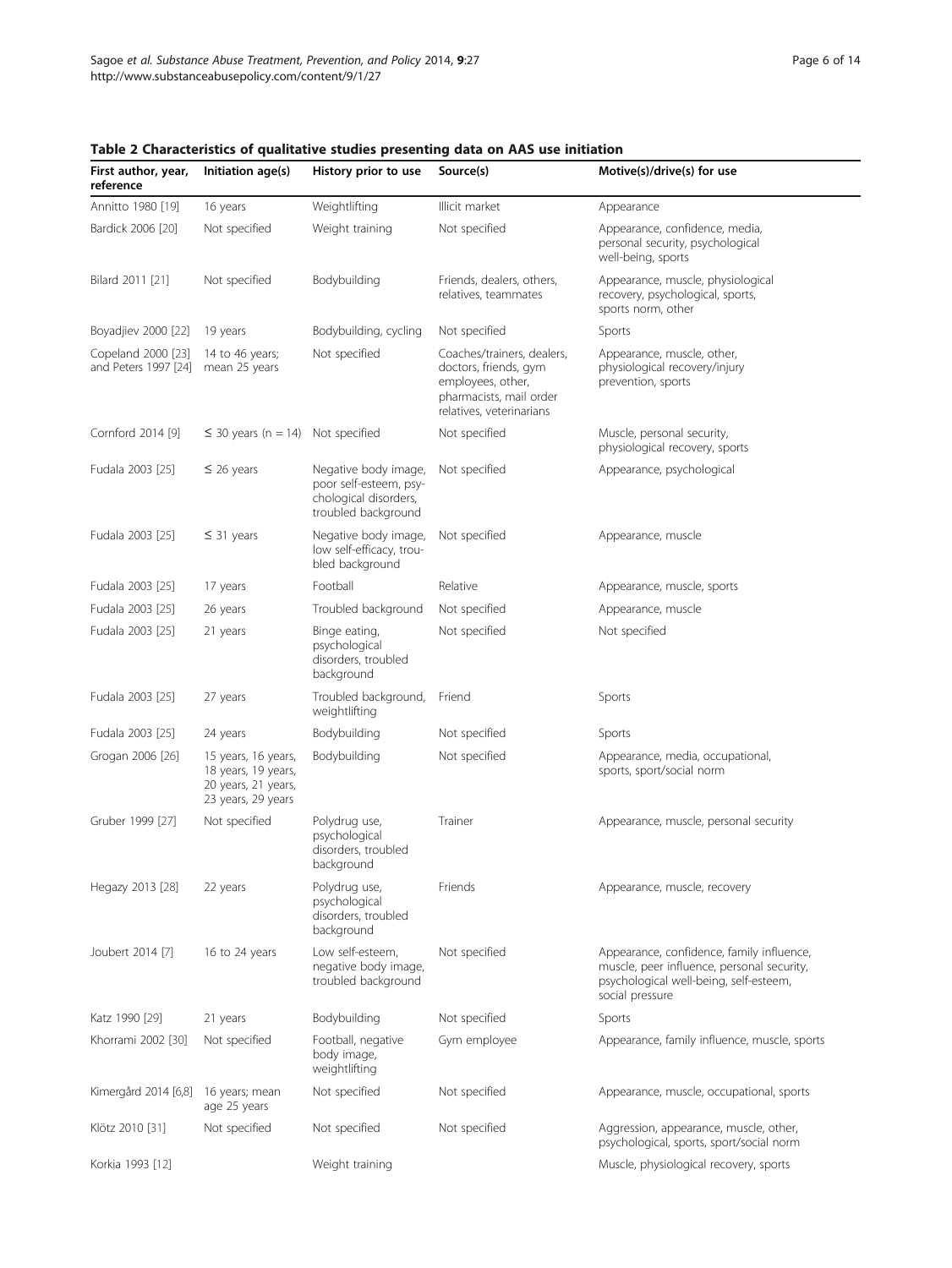| First author, year,<br>reference           | Initiation age(s)                                                                       | History prior to use                                                                           | ו טאכן בא דווי איז די האז ווי האט איז איז די האט א די האט האט א די האט ווי האט א די האט ווי האט ווי האט ווי ה<br>Source(s)      | Motive(s)/drive(s) for use                                                                                                                           |
|--------------------------------------------|-----------------------------------------------------------------------------------------|------------------------------------------------------------------------------------------------|---------------------------------------------------------------------------------------------------------------------------------|------------------------------------------------------------------------------------------------------------------------------------------------------|
| Annitto 1980 [19]                          | 16 years                                                                                | Weightlifting                                                                                  | Illicit market                                                                                                                  | Appearance                                                                                                                                           |
| Bardick 2006 [20]                          | Not specified                                                                           | Weight training                                                                                | Not specified                                                                                                                   | Appearance, confidence, media,<br>personal security, psychological<br>well-being, sports                                                             |
| Bilard 2011 [21]                           | Not specified                                                                           | Bodybuilding                                                                                   | Friends, dealers, others,<br>relatives, teammates                                                                               | Appearance, muscle, physiological<br>recovery, psychological, sports,<br>sports norm, other                                                          |
| Boyadjiev 2000 [22]                        | 19 years                                                                                | Bodybuilding, cycling                                                                          | Not specified                                                                                                                   | Sports                                                                                                                                               |
| Copeland 2000 [23]<br>and Peters 1997 [24] | 14 to 46 years;<br>mean 25 years                                                        | Not specified                                                                                  | Coaches/trainers, dealers,<br>doctors, friends, gym<br>employees, other,<br>pharmacists, mail order<br>relatives, veterinarians | Appearance, muscle, other,<br>physiological recovery/injury<br>prevention, sports                                                                    |
| Cornford 2014 [9]                          | $\leq$ 30 years (n = 14) Not specified                                                  |                                                                                                | Not specified                                                                                                                   | Muscle, personal security,<br>physiological recovery, sports                                                                                         |
| Fudala 2003 [25]                           | $\leq$ 26 years                                                                         | Negative body image,<br>poor self-esteem, psy-<br>chological disorders,<br>troubled background | Not specified                                                                                                                   | Appearance, psychological                                                                                                                            |
| Fudala 2003 [25]                           | $\leq$ 31 years                                                                         | Negative body image,<br>low self-efficacy, trou-<br>bled background                            | Not specified                                                                                                                   | Appearance, muscle                                                                                                                                   |
| Fudala 2003 [25]                           | 17 years                                                                                | Football                                                                                       | Relative                                                                                                                        | Appearance, muscle, sports                                                                                                                           |
| Fudala 2003 [25]                           | 26 years                                                                                | Troubled background                                                                            | Not specified                                                                                                                   | Appearance, muscle                                                                                                                                   |
| Fudala 2003 [25]                           | 21 years                                                                                | Binge eating,<br>psychological<br>disorders, troubled<br>background                            | Not specified                                                                                                                   | Not specified                                                                                                                                        |
| Fudala 2003 [25]                           | 27 years                                                                                | Troubled background,<br>weightlifting                                                          | Friend                                                                                                                          | Sports                                                                                                                                               |
| Fudala 2003 [25]                           | 24 years                                                                                | Bodybuilding                                                                                   | Not specified                                                                                                                   | Sports                                                                                                                                               |
| Grogan 2006 [26]                           | 15 years, 16 years,<br>18 years, 19 years,<br>20 years, 21 years,<br>23 years, 29 years | Bodybuilding                                                                                   | Not specified                                                                                                                   | Appearance, media, occupational,<br>sports, sport/social norm                                                                                        |
| Gruber 1999 [27]                           | Not specified                                                                           | Polydrug use,<br>psychological<br>disorders, troubled<br>background                            | Trainer                                                                                                                         | Appearance, muscle, personal security                                                                                                                |
| Hegazy 2013 [28]                           | 22 years                                                                                | Polydrug use,<br>psychological<br>disorders, troubled<br>background                            | Friends                                                                                                                         | Appearance, muscle, recovery                                                                                                                         |
| Joubert 2014 [7]                           | 16 to 24 years                                                                          | Low self-esteem,<br>negative body image,<br>troubled background                                | Not specified                                                                                                                   | Appearance, confidence, family influence,<br>muscle, peer influence, personal security,<br>psychological well-being, self-esteem,<br>social pressure |
| Katz 1990 [29]                             | 21 years                                                                                | Bodybuilding                                                                                   | Not specified                                                                                                                   | Sports                                                                                                                                               |
| Khorrami 2002 [30]                         | Not specified                                                                           | Football, negative<br>body image,<br>weightlifting                                             | Gym employee                                                                                                                    | Appearance, family influence, muscle, sports                                                                                                         |
| Kimergård 2014 [6,8]                       | 16 years; mean<br>age 25 years                                                          | Not specified                                                                                  | Not specified                                                                                                                   | Appearance, muscle, occupational, sports                                                                                                             |
| Klötz 2010 [31]                            | Not specified                                                                           | Not specified                                                                                  | Not specified                                                                                                                   | Aggression, appearance, muscle, other,<br>psychological, sports, sport/social norm                                                                   |
| Korkia 1993 [12]                           |                                                                                         | Weight training                                                                                |                                                                                                                                 | Muscle, physiological recovery, sports                                                                                                               |

<span id="page-5-0"></span>Table 2 Characteristics of qualitative studies presenting data on AAS use initiation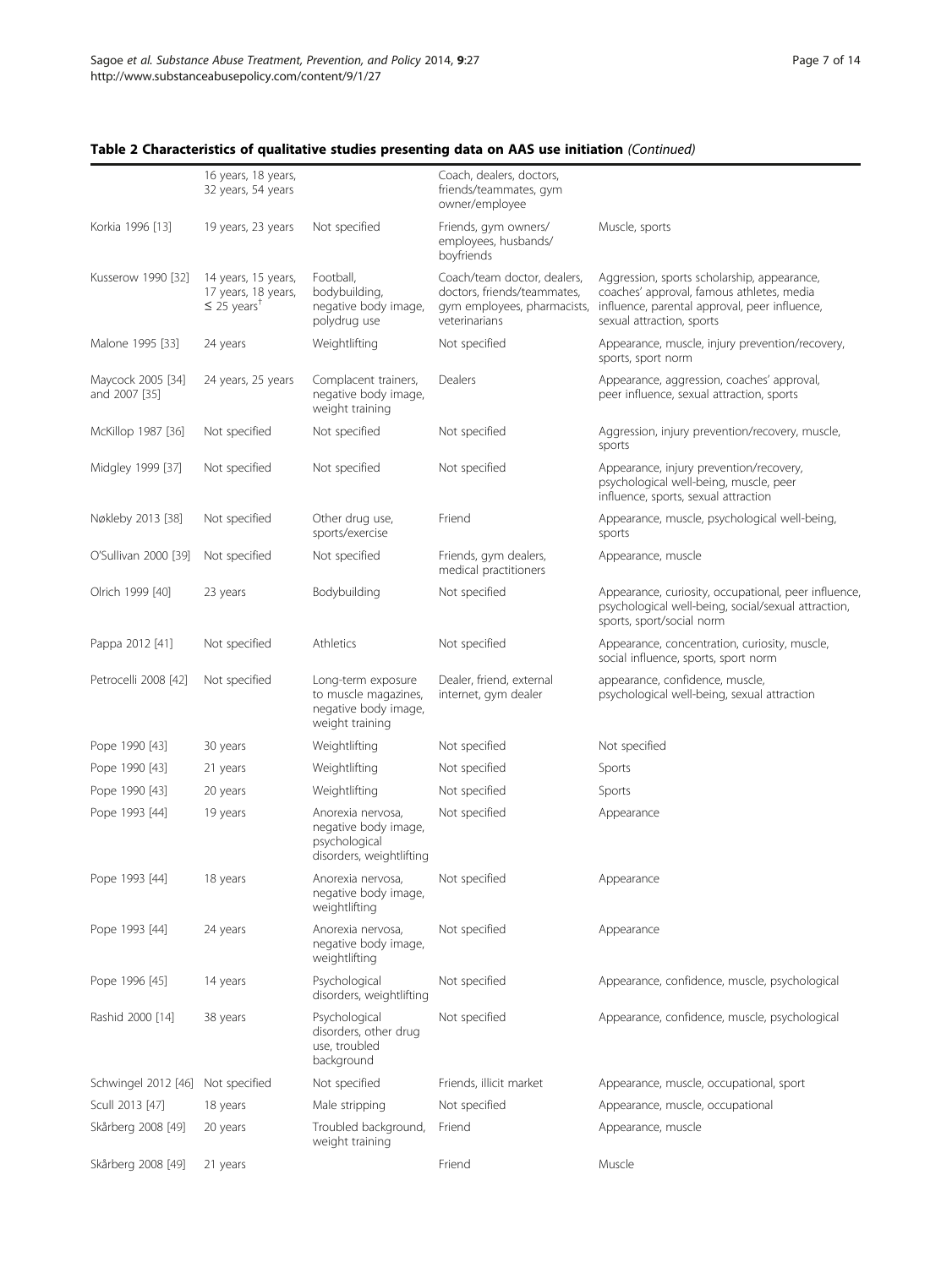#### 16 years, 18 years, 32 years, 54 years Coach, dealers, doctors, friends/teammates, gym owner/employee Korkia 1996 [[13\]](#page-12-0) 19 years, 23 years Not specified Friends, gym owners/ employees, husbands/ boyfriends Muscle, sports Kusserow 1990 [[32\]](#page-12-0) 14 years, 15 years, 17 years, 18 years, ≤ 25 years† Football, bodybuilding, negative body image, polydrug use Coach/team doctor, dealers, doctors, friends/teammates, gym employees, pharmacists, veterinarians Aggression, sports scholarship, appearance, coaches' approval, famous athletes, media influence, parental approval, peer influence, sexual attraction, sports Malone 1995 [[33](#page-12-0)] 24 years Weightlifting Not specified Appearance, muscle, injury prevention/recovery, sports, sport norm Maycock 2005 [[34](#page-12-0)] and 2007 [[35\]](#page-12-0) 24 years, 25 years Complacent trainers, negative body image, weight training Dealers **Appearance**, aggression, coaches' approval, peer influence, sexual attraction, sports McKillop 1987 [[36\]](#page-12-0) Not specified Not specified Not specified Aggression, injury prevention/recovery, muscle, sports Midgley 1999 [\[37\]](#page-12-0) Not specified Not specified Not specified Appearance, injury prevention/recovery, psychological well-being, muscle, peer influence, sports, sexual attraction Nøkleby 2013 [[38](#page-12-0)] Not specified Other drug use, sports/exercise Friend **Appearance**, muscle, psychological well-being, sports O'Sullivan 2000 [[39](#page-12-0)] Not specified Not specified Friends, gym dealers, medical practitioners Appearance, muscle Olrich 1999 [[40](#page-12-0)] 23 years Bodybuilding Not specified Appearance, curiosity, occupational, peer influence, psychological well-being, social/sexual attraction, sports, sport/social norm Pappa 2012 [[41](#page-12-0)] Not specified Athletics Not specified Appearance, concentration, curiosity, muscle, social influence, sports, sport norm Petrocelli 2008 [[42\]](#page-12-0) Not specified Long-term exposure to muscle magazines, negative body image, weight training Dealer, friend, external internet, gym dealer appearance, confidence, muscle, psychological well-being, sexual attraction Pope 1990 [\[43\]](#page-12-0) 30 years Weightlifting Not specified Not specified Pope 1990 [\[43\]](#page-12-0) 21 years Weightlifting Not specified Sports Pope 1990 [\[43\]](#page-12-0) 20 years Weightlifting Not specified Sports Pope 1993 [\[44\]](#page-12-0) 19 years Anorexia nervosa, negative body image, psychological disorders, weightlifting Not specified Appearance Pope 1993 [\[44\]](#page-12-0) 18 years Anorexia nervosa, negative body image, weightlifting Not specified Appearance Pope 1993 [\[44\]](#page-12-0) 24 years Anorexia nervosa, negative body image, weightlifting Not specified Appearance Pope 1996 [\[45\]](#page-12-0) 14 years Psychological disorders, weightlifting Not specified Appearance, confidence, muscle, psychological Rashid 2000 [[14](#page-12-0)] 38 years Psychological disorders, other drug use, troubled background Not specified Appearance, confidence, muscle, psychological Schwingel 2012 [[46](#page-12-0)] Not specified Not specified Friends, illicit market Appearance, muscle, occupational, sport Scull 2013 [\[47](#page-12-0)] 18 years Male stripping Not specified Appearance, muscle, occupational Skårberg 2008 [[49](#page-12-0)] 20 years Troubled background, weight training Friend **Appearance**, muscle Skårberg 2008 [[49](#page-12-0)] 21 years Friend Friend Muscle

#### Table 2 Characteristics of qualitative studies presenting data on AAS use initiation (Continued)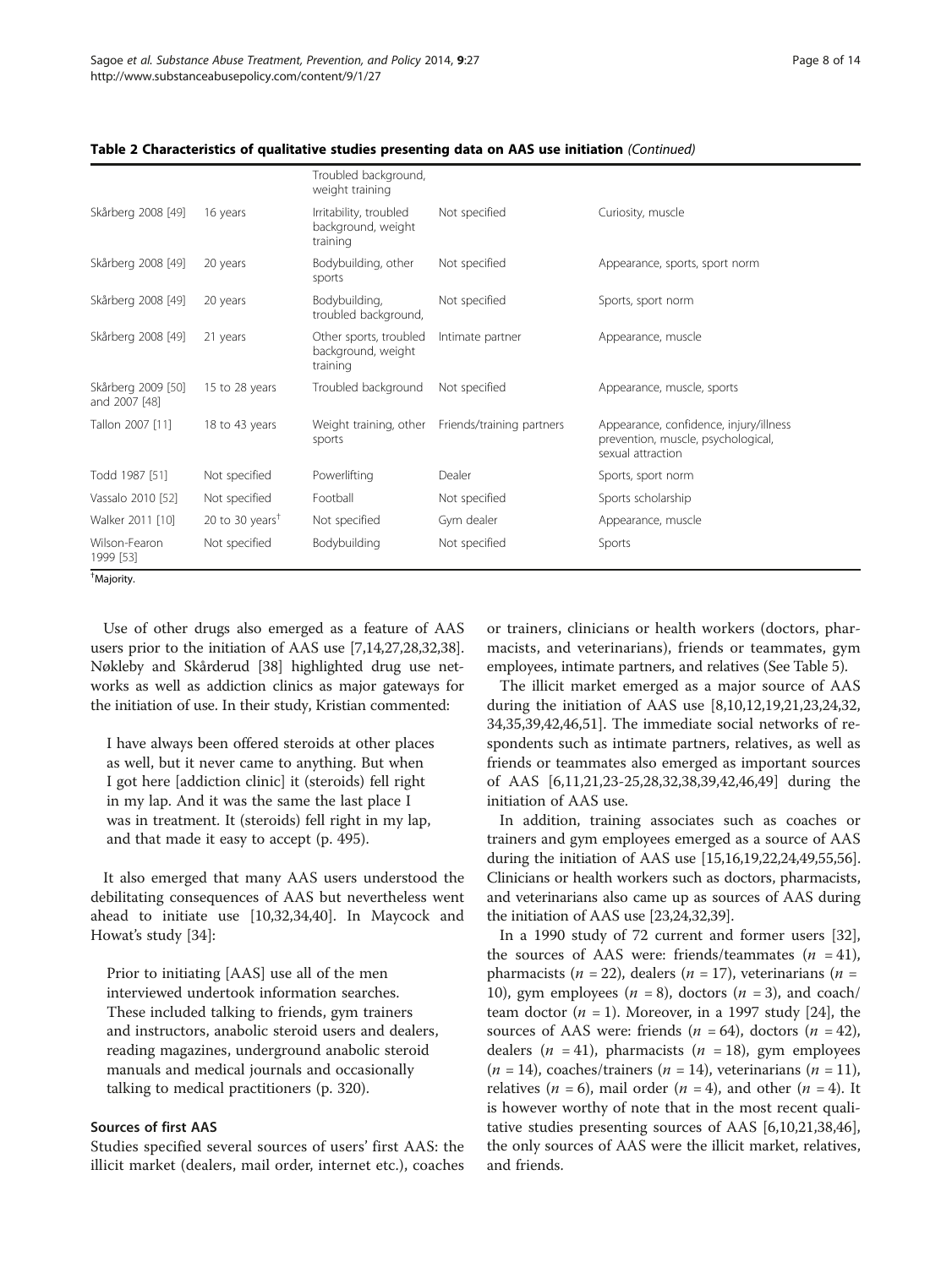|                                     |                             | Troubled background,<br>weight training                  |                           |                                                                                                   |
|-------------------------------------|-----------------------------|----------------------------------------------------------|---------------------------|---------------------------------------------------------------------------------------------------|
| Skårberg 2008 [49]                  | 16 years                    | Irritability, troubled<br>background, weight<br>training | Not specified             | Curiosity, muscle                                                                                 |
| Skårberg 2008 [49]                  | 20 years                    | Bodybuilding, other<br>sports                            | Not specified             | Appearance, sports, sport norm                                                                    |
| Skårberg 2008 [49]                  | 20 years                    | Bodybuilding,<br>troubled background,                    | Not specified             | Sports, sport norm                                                                                |
| Skårberg 2008 [49]                  | 21 years                    | Other sports, troubled<br>background, weight<br>training | Intimate partner          | Appearance, muscle                                                                                |
| Skårberg 2009 [50]<br>and 2007 [48] | 15 to 28 years              | Troubled background                                      | Not specified             | Appearance, muscle, sports                                                                        |
| Tallon 2007 [11]                    | 18 to 43 years              | Weight training, other<br>sports                         | Friends/training partners | Appearance, confidence, injury/illness<br>prevention, muscle, psychological,<br>sexual attraction |
| Todd 1987 [51]                      | Not specified               | Powerlifting                                             | Dealer                    | Sports, sport norm                                                                                |
| Vassalo 2010 [52]                   | Not specified               | Football                                                 | Not specified             | Sports scholarship                                                                                |
| Walker 2011 [10]                    | 20 to 30 years <sup>†</sup> | Not specified                                            | Gym dealer                | Appearance, muscle                                                                                |
| Wilson-Fearon<br>1999 [53]          | Not specified               | Bodybuilding                                             | Not specified             | Sports                                                                                            |

Table 2 Characteristics of qualitative studies presenting data on AAS use initiation (Continued)

† Majority.

Use of other drugs also emerged as a feature of AAS users prior to the initiation of AAS use [\[7,14,27,28,32,38](#page-12-0)]. Nøkleby and Skårderud [\[38](#page-12-0)] highlighted drug use networks as well as addiction clinics as major gateways for the initiation of use. In their study, Kristian commented:

I have always been offered steroids at other places as well, but it never came to anything. But when I got here [addiction clinic] it (steroids) fell right in my lap. And it was the same the last place I was in treatment. It (steroids) fell right in my lap, and that made it easy to accept (p. 495).

It also emerged that many AAS users understood the debilitating consequences of AAS but nevertheless went ahead to initiate use [[10](#page-12-0),[32](#page-12-0),[34,40](#page-12-0)]. In Maycock and Howat's study [[34\]](#page-12-0):

Prior to initiating [AAS] use all of the men interviewed undertook information searches. These included talking to friends, gym trainers and instructors, anabolic steroid users and dealers, reading magazines, underground anabolic steroid manuals and medical journals and occasionally talking to medical practitioners (p. 320).

#### Sources of first AAS

Studies specified several sources of users' first AAS: the illicit market (dealers, mail order, internet etc.), coaches or trainers, clinicians or health workers (doctors, pharmacists, and veterinarians), friends or teammates, gym employees, intimate partners, and relatives (See Table [5](#page-10-0)).

The illicit market emerged as a major source of AAS during the initiation of AAS use [[8,10,12,19,21,23,24](#page-12-0),[32](#page-12-0), [34,35](#page-12-0),[39](#page-12-0),[42](#page-12-0),[46](#page-12-0),[51](#page-13-0)]. The immediate social networks of respondents such as intimate partners, relatives, as well as friends or teammates also emerged as important sources of AAS [\[6,11,21,23](#page-12-0)-[25](#page-12-0),[28](#page-12-0),[32](#page-12-0),[38](#page-12-0),[39,42,46,49](#page-12-0)] during the initiation of AAS use.

In addition, training associates such as coaches or trainers and gym employees emerged as a source of AAS during the initiation of AAS use [[15,16,19,22,24,49](#page-12-0)[,55,56](#page-13-0)]. Clinicians or health workers such as doctors, pharmacists, and veterinarians also came up as sources of AAS during the initiation of AAS use [\[23,24,32](#page-12-0),[39](#page-12-0)].

In a 1990 study of 72 current and former users [\[32](#page-12-0)], the sources of AAS were: friends/teammates  $(n = 41)$ , pharmacists ( $n = 22$ ), dealers ( $n = 17$ ), veterinarians ( $n =$ 10), gym employees ( $n = 8$ ), doctors ( $n = 3$ ), and coach/ team doctor ( $n = 1$ ). Moreover, in a 1997 study [\[24\]](#page-12-0), the sources of AAS were: friends ( $n = 64$ ), doctors ( $n = 42$ ), dealers ( $n = 41$ ), pharmacists ( $n = 18$ ), gym employees  $(n = 14)$ , coaches/trainers  $(n = 14)$ , veterinarians  $(n = 11)$ , relatives ( $n = 6$ ), mail order ( $n = 4$ ), and other ( $n = 4$ ). It is however worthy of note that in the most recent qualitative studies presenting sources of AAS [\[6](#page-12-0),[10](#page-12-0),[21,38,46](#page-12-0)], the only sources of AAS were the illicit market, relatives, and friends.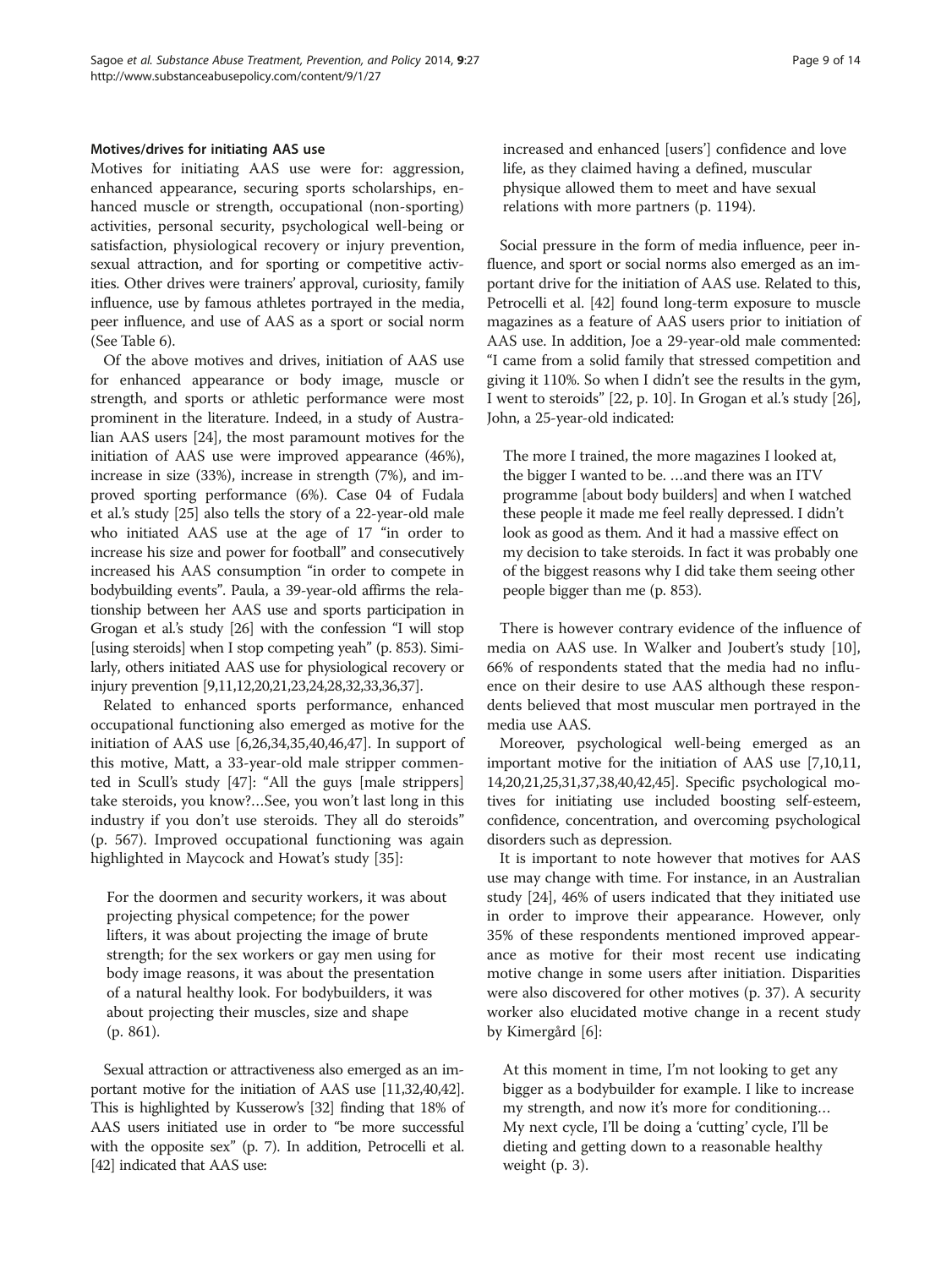Motives for initiating AAS use were for: aggression, enhanced appearance, securing sports scholarships, enhanced muscle or strength, occupational (non-sporting) activities, personal security, psychological well-being or satisfaction, physiological recovery or injury prevention, sexual attraction, and for sporting or competitive activities. Other drives were trainers' approval, curiosity, family influence, use by famous athletes portrayed in the media, peer influence, and use of AAS as a sport or social norm (See Table [6\)](#page-10-0).

Of the above motives and drives, initiation of AAS use for enhanced appearance or body image, muscle or strength, and sports or athletic performance were most prominent in the literature. Indeed, in a study of Australian AAS users [[24](#page-12-0)], the most paramount motives for the initiation of AAS use were improved appearance (46%), increase in size (33%), increase in strength (7%), and improved sporting performance (6%). Case 04 of Fudala et al.'s study [[25](#page-12-0)] also tells the story of a 22-year-old male who initiated AAS use at the age of 17 "in order to increase his size and power for football" and consecutively increased his AAS consumption "in order to compete in bodybuilding events". Paula, a 39-year-old affirms the relationship between her AAS use and sports participation in Grogan et al.'s study [[26](#page-12-0)] with the confession "I will stop [using steroids] when I stop competing yeah" (p. 853). Similarly, others initiated AAS use for physiological recovery or injury prevention [[9,11,12,20,21,23,24,28,32,33,36,37\]](#page-12-0).

Related to enhanced sports performance, enhanced occupational functioning also emerged as motive for the initiation of AAS use [\[6](#page-12-0),[26](#page-12-0),[34,35,40,46,47](#page-12-0)]. In support of this motive, Matt, a 33-year-old male stripper commented in Scull's study [\[47](#page-12-0)]: "All the guys [male strippers] take steroids, you know?…See, you won't last long in this industry if you don't use steroids. They all do steroids" (p. 567). Improved occupational functioning was again highlighted in Maycock and Howat's study [\[35\]](#page-12-0):

For the doormen and security workers, it was about projecting physical competence; for the power lifters, it was about projecting the image of brute strength; for the sex workers or gay men using for body image reasons, it was about the presentation of a natural healthy look. For bodybuilders, it was about projecting their muscles, size and shape (p. 861).

Sexual attraction or attractiveness also emerged as an important motive for the initiation of AAS use [[11,32,40,42](#page-12-0)]. This is highlighted by Kusserow's [\[32](#page-12-0)] finding that 18% of AAS users initiated use in order to "be more successful with the opposite sex" (p. 7). In addition, Petrocelli et al. [[42](#page-12-0)] indicated that AAS use:

increased and enhanced [users'] confidence and love life, as they claimed having a defined, muscular physique allowed them to meet and have sexual relations with more partners (p. 1194).

Social pressure in the form of media influence, peer influence, and sport or social norms also emerged as an important drive for the initiation of AAS use. Related to this, Petrocelli et al. [\[42\]](#page-12-0) found long-term exposure to muscle magazines as a feature of AAS users prior to initiation of AAS use. In addition, Joe a 29-year-old male commented: "I came from a solid family that stressed competition and giving it 110%. So when I didn't see the results in the gym, I went to steroids" [22, p. 10]. In Grogan et al.'s study [[26](#page-12-0)], John, a 25-year-old indicated:

The more I trained, the more magazines I looked at, the bigger I wanted to be. …and there was an ITV programme [about body builders] and when I watched these people it made me feel really depressed. I didn't look as good as them. And it had a massive effect on my decision to take steroids. In fact it was probably one of the biggest reasons why I did take them seeing other people bigger than me (p. 853).

There is however contrary evidence of the influence of media on AAS use. In Walker and Joubert's study [\[10](#page-12-0)], 66% of respondents stated that the media had no influence on their desire to use AAS although these respondents believed that most muscular men portrayed in the media use AAS.

Moreover, psychological well-being emerged as an important motive for the initiation of AAS use [\[7,10,11](#page-12-0), [14,20,21,25,31,37,38,40,42,45\]](#page-12-0). Specific psychological motives for initiating use included boosting self-esteem, confidence, concentration, and overcoming psychological disorders such as depression.

It is important to note however that motives for AAS use may change with time. For instance, in an Australian study [\[24\]](#page-12-0), 46% of users indicated that they initiated use in order to improve their appearance. However, only 35% of these respondents mentioned improved appearance as motive for their most recent use indicating motive change in some users after initiation. Disparities were also discovered for other motives (p. 37). A security worker also elucidated motive change in a recent study by Kimergård [[6\]](#page-12-0):

At this moment in time, I'm not looking to get any bigger as a bodybuilder for example. I like to increase my strength, and now it's more for conditioning… My next cycle, I'll be doing a 'cutting' cycle, I'll be dieting and getting down to a reasonable healthy weight (p. 3).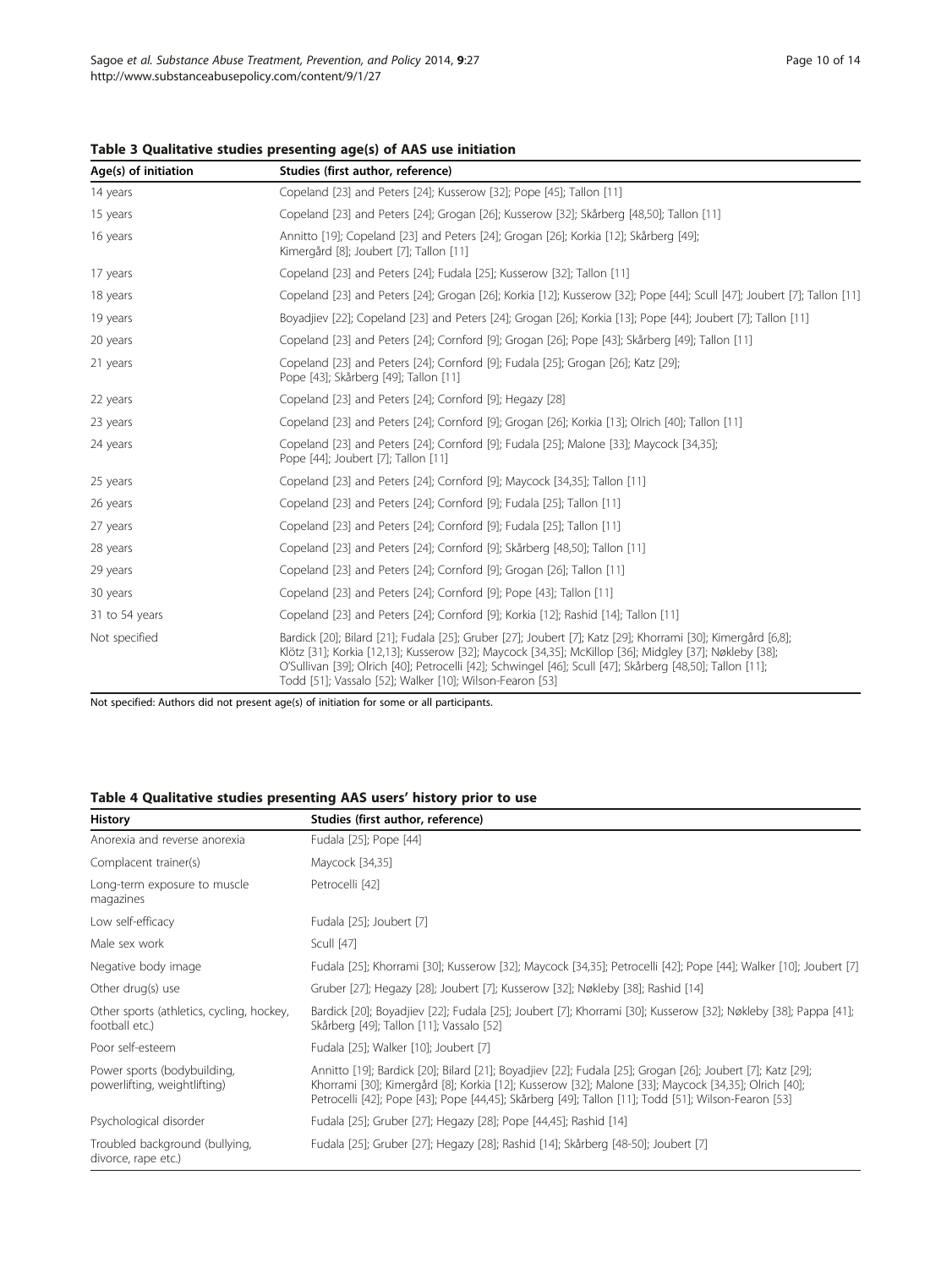| Age(s) of initiation | Studies (first author, reference)                                                                                                                                                                                                                                                                                                                                                               |
|----------------------|-------------------------------------------------------------------------------------------------------------------------------------------------------------------------------------------------------------------------------------------------------------------------------------------------------------------------------------------------------------------------------------------------|
| 14 years             | Copeland [23] and Peters [24]; Kusserow [32]; Pope [45]; Tallon [11]                                                                                                                                                                                                                                                                                                                            |
| 15 years             | Copeland [23] and Peters [24]; Grogan [26]; Kusserow [32]; Skårberg [48,50]; Tallon [11]                                                                                                                                                                                                                                                                                                        |
| 16 years             | Annitto [19]; Copeland [23] and Peters [24]; Grogan [26]; Korkia [12]; Skårberg [49];<br>Kimergård [8]; Joubert [7]; Tallon [11]                                                                                                                                                                                                                                                                |
| 17 years             | Copeland [23] and Peters [24]; Fudala [25]; Kusserow [32]; Tallon [11]                                                                                                                                                                                                                                                                                                                          |
| 18 years             | Copeland [23] and Peters [24]; Grogan [26]; Korkia [12]; Kusserow [32]; Pope [44]; Scull [47]; Joubert [7]; Tallon [11]                                                                                                                                                                                                                                                                         |
| 19 years             | Boyadjiev [22]; Copeland [23] and Peters [24]; Grogan [26]; Korkia [13]; Pope [44]; Joubert [7]; Tallon [11]                                                                                                                                                                                                                                                                                    |
| 20 years             | Copeland [23] and Peters [24]; Cornford [9]; Grogan [26]; Pope [43]; Skårberg [49]; Tallon [11]                                                                                                                                                                                                                                                                                                 |
| 21 years             | Copeland [23] and Peters [24]; Cornford [9]; Fudala [25]; Grogan [26]; Katz [29];<br>Pope [43]; Skårberg [49]; Tallon [11]                                                                                                                                                                                                                                                                      |
| 22 years             | Copeland [23] and Peters [24]; Cornford [9]; Hegazy [28]                                                                                                                                                                                                                                                                                                                                        |
| 23 years             | Copeland [23] and Peters [24]; Cornford [9]; Grogan [26]; Korkia [13]; Olrich [40]; Tallon [11]                                                                                                                                                                                                                                                                                                 |
| 24 years             | Copeland [23] and Peters [24]; Cornford [9]; Fudala [25]; Malone [33]; Maycock [34,35];<br>Pope [44]; Joubert [7]; Tallon [11]                                                                                                                                                                                                                                                                  |
| 25 years             | Copeland [23] and Peters [24]; Cornford [9]; Maycock [34,35]; Tallon [11]                                                                                                                                                                                                                                                                                                                       |
| 26 years             | Copeland [23] and Peters [24]; Cornford [9]; Fudala [25]; Tallon [11]                                                                                                                                                                                                                                                                                                                           |
| 27 years             | Copeland [23] and Peters [24]; Cornford [9]; Fudala [25]; Tallon [11]                                                                                                                                                                                                                                                                                                                           |
| 28 years             | Copeland [23] and Peters [24]; Cornford [9]; Skårberg [48,50]; Tallon [11]                                                                                                                                                                                                                                                                                                                      |
| 29 years             | Copeland [23] and Peters [24]; Cornford [9]; Grogan [26]; Tallon [11]                                                                                                                                                                                                                                                                                                                           |
| 30 years             | Copeland [23] and Peters [24]; Cornford [9]; Pope [43]; Tallon [11]                                                                                                                                                                                                                                                                                                                             |
| 31 to 54 years       | Copeland [23] and Peters [24]; Cornford [9]; Korkia [12]; Rashid [14]; Tallon [11]                                                                                                                                                                                                                                                                                                              |
| Not specified        | Bardick [20]; Bilard [21]; Fudala [25]; Gruber [27]; Joubert [7]; Katz [29]; Khorrami [30]; Kimergård [6,8];<br>Klötz [31]; Korkia [12,13]; Kusserow [32]; Maycock [34,35]; McKillop [36]; Midgley [37]; Nøkleby [38];<br>O'Sullivan [39]; Olrich [40]; Petrocelli [42]; Schwingel [46]; Scull [47]; Skårberg [48,50]; Tallon [11];<br>Todd [51]; Vassalo [52]; Walker [10]; Wilson-Fearon [53] |

<span id="page-9-0"></span>Table 3 Qualitative studies presenting age(s) of AAS use initiation

Not specified: Authors did not present age(s) of initiation for some or all participants.

# Table 4 Qualitative studies presenting AAS users' history prior to use

| <b>History</b>                                              | Studies (first author, reference)                                                                                                                                                                                                                                                                                         |
|-------------------------------------------------------------|---------------------------------------------------------------------------------------------------------------------------------------------------------------------------------------------------------------------------------------------------------------------------------------------------------------------------|
| Anorexia and reverse anorexia                               | Fudala [25]; Pope [44]                                                                                                                                                                                                                                                                                                    |
| Complacent trainer(s)                                       | Maycock [34,35]                                                                                                                                                                                                                                                                                                           |
| Long-term exposure to muscle<br>magazines                   | Petrocelli [42]                                                                                                                                                                                                                                                                                                           |
| Low self-efficacy                                           | Fudala [25]; Joubert [7]                                                                                                                                                                                                                                                                                                  |
| Male sex work                                               | Scull [47]                                                                                                                                                                                                                                                                                                                |
| Negative body image                                         | Fudala [25]; Khorrami [30]; Kusserow [32]; Maycock [34,35]; Petrocelli [42]; Pope [44]; Walker [10]; Joubert [7]                                                                                                                                                                                                          |
| Other drug(s) use                                           | Gruber [27]; Hegazy [28]; Joubert [7]; Kusserow [32]; Nøkleby [38]; Rashid [14]                                                                                                                                                                                                                                           |
| Other sports (athletics, cycling, hockey,<br>football etc.) | Bardick [20]; Boyadjiev [22]; Fudala [25]; Joubert [7]; Khorrami [30]; Kusserow [32]; Nøkleby [38]; Pappa [41];<br>Skårberg [49]; Tallon [11]; Vassalo [52]                                                                                                                                                               |
| Poor self-esteem                                            | Fudala [25]; Walker [10]; Joubert [7]                                                                                                                                                                                                                                                                                     |
| Power sports (bodybuilding,<br>powerlifting, weightlifting) | Annitto [19]; Bardick [20]; Bilard [21]; Boyadjiev [22]; Fudala [25]; Grogan [26]; Joubert [7]; Katz [29];<br>Khorrami [30]; Kimergård [8]; Korkia [12]; Kusserow [32]; Malone [33]; Maycock [34,35]; Olrich [40];<br>Petrocelli [42]; Pope [43]; Pope [44,45]; Skårberg [49]; Tallon [11]; Todd [51]; Wilson-Fearon [53] |
| Psychological disorder                                      | Fudala [25]; Gruber [27]; Hegazy [28]; Pope [44,45]; Rashid [14]                                                                                                                                                                                                                                                          |
| Troubled background (bullying,<br>divorce, rape etc.)       | Fudala [25]; Gruber [27]; Hegazy [28]; Rashid [14]; Skårberg [48-50]; Joubert [7]                                                                                                                                                                                                                                         |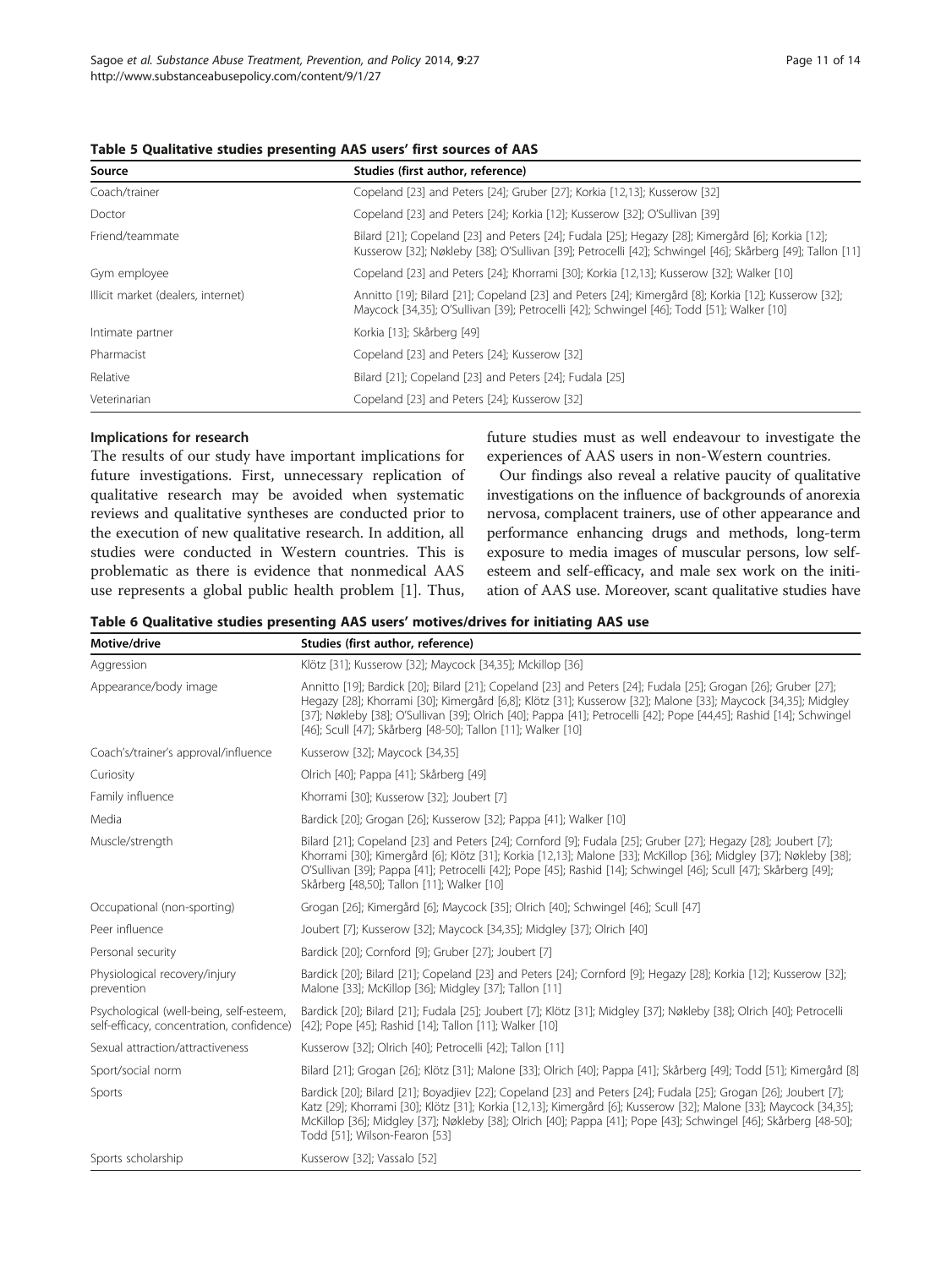<span id="page-10-0"></span>

| Source                             | Studies (first author, reference)                                                                                                                                                                              |
|------------------------------------|----------------------------------------------------------------------------------------------------------------------------------------------------------------------------------------------------------------|
| Coach/trainer                      | Copeland [23] and Peters [24]; Gruber [27]; Korkia [12,13]; Kusserow [32]                                                                                                                                      |
| Doctor                             | Copeland [23] and Peters [24]; Korkia [12]; Kusserow [32]; O'Sullivan [39]                                                                                                                                     |
| Friend/teammate                    | Bilard [21]; Copeland [23] and Peters [24]; Fudala [25]; Hegazy [28]; Kimergård [6]; Korkia [12];<br>Kusserow [32]; Nøkleby [38]; O'Sullivan [39]; Petrocelli [42]; Schwingel [46]; Skårberg [49]; Tallon [11] |
| Gym employee                       | Copeland [23] and Peters [24]; Khorrami [30]; Korkia [12,13]; Kusserow [32]; Walker [10]                                                                                                                       |
| Illicit market (dealers, internet) | Annitto [19]; Bilard [21]; Copeland [23] and Peters [24]; Kimergård [8]; Korkia [12]; Kusserow [32];<br>Maycock [34,35]; O'Sullivan [39]; Petrocelli [42]; Schwingel [46]; Todd [51]; Walker [10]              |
| Intimate partner                   | Korkia [13]; Skårberg [49]                                                                                                                                                                                     |
| Pharmacist                         | Copeland [23] and Peters [24]; Kusserow [32]                                                                                                                                                                   |
| Relative                           | Bilard [21]; Copeland [23] and Peters [24]; Fudala [25]                                                                                                                                                        |
| Veterinarian                       | Copeland [23] and Peters [24]; Kusserow [32]                                                                                                                                                                   |

## Implications for research

The results of our study have important implications for future investigations. First, unnecessary replication of qualitative research may be avoided when systematic reviews and qualitative syntheses are conducted prior to the execution of new qualitative research. In addition, all studies were conducted in Western countries. This is problematic as there is evidence that nonmedical AAS use represents a global public health problem [[1](#page-12-0)]. Thus,

future studies must as well endeavour to investigate the experiences of AAS users in non-Western countries.

Our findings also reveal a relative paucity of qualitative investigations on the influence of backgrounds of anorexia nervosa, complacent trainers, use of other appearance and performance enhancing drugs and methods, long-term exposure to media images of muscular persons, low selfesteem and self-efficacy, and male sex work on the initiation of AAS use. Moreover, scant qualitative studies have

| Table 6 Qualitative studies presenting AAS users' motives/drives for initiating AAS use |  |  |
|-----------------------------------------------------------------------------------------|--|--|
|-----------------------------------------------------------------------------------------|--|--|

| Motive/drive                                                                         | Studies (first author, reference)                                                                                                                                                                                                                                                                                                                                                                                      |  |
|--------------------------------------------------------------------------------------|------------------------------------------------------------------------------------------------------------------------------------------------------------------------------------------------------------------------------------------------------------------------------------------------------------------------------------------------------------------------------------------------------------------------|--|
| Aggression                                                                           | Klötz [31]; Kusserow [32]; Maycock [34,35]; Mckillop [36]                                                                                                                                                                                                                                                                                                                                                              |  |
| Appearance/body image                                                                | Annitto [19]; Bardick [20]; Bilard [21]; Copeland [23] and Peters [24]; Fudala [25]; Grogan [26]; Gruber [27];<br>Hegazy [28]; Khorrami [30]; Kimergård [6,8]; Klötz [31]; Kusserow [32]; Malone [33]; Maycock [34,35]; Midgley<br>[37]; Nøkleby [38]; O'Sullivan [39]; Olrich [40]; Pappa [41]; Petrocelli [42]; Pope [44,45]; Rashid [14]; Schwingel<br>[46]; Scull [47]; Skårberg [48-50]; Tallon [11]; Walker [10] |  |
| Coach's/trainer's approval/influence                                                 | Kusserow [32]; Maycock [34,35]                                                                                                                                                                                                                                                                                                                                                                                         |  |
| Curiosity                                                                            | Olrich [40]; Pappa [41]; Skårberg [49]                                                                                                                                                                                                                                                                                                                                                                                 |  |
| Family influence                                                                     | Khorrami [30]; Kusserow [32]; Joubert [7]                                                                                                                                                                                                                                                                                                                                                                              |  |
| Media                                                                                | Bardick [20]; Grogan [26]; Kusserow [32]; Pappa [41]; Walker [10]                                                                                                                                                                                                                                                                                                                                                      |  |
| Muscle/strength                                                                      | Bilard [21]; Copeland [23] and Peters [24]; Cornford [9]; Fudala [25]; Gruber [27]; Hegazy [28]; Joubert [7];<br>Khorrami [30]; Kimergård [6]; Klötz [31]; Korkia [12,13]; Malone [33]; McKillop [36]; Midgley [37]; Nøkleby [38];<br>O'Sullivan [39]; Pappa [41]; Petrocelli [42]; Pope [45]; Rashid [14]; Schwingel [46]; Scull [47]; Skårberg [49];<br>Skårberg [48,50]; Tallon [11]; Walker [10]                   |  |
| Occupational (non-sporting)                                                          | Grogan [26]; Kimergård [6]; Maycock [35]; Olrich [40]; Schwingel [46]; Scull [47]                                                                                                                                                                                                                                                                                                                                      |  |
| Peer influence                                                                       | Joubert [7]; Kusserow [32]; Maycock [34,35]; Midgley [37]; Olrich [40]                                                                                                                                                                                                                                                                                                                                                 |  |
| Personal security                                                                    | Bardick [20]; Cornford [9]; Gruber [27]; Joubert [7]                                                                                                                                                                                                                                                                                                                                                                   |  |
| Physiological recovery/injury<br>prevention                                          | Bardick [20]; Bilard [21]; Copeland [23] and Peters [24]; Cornford [9]; Hegazy [28]; Korkia [12]; Kusserow [32];<br>Malone [33]; McKillop [36]; Midgley [37]; Tallon [11]                                                                                                                                                                                                                                              |  |
| Psychological (well-being, self-esteem,<br>self-efficacy, concentration, confidence) | Bardick [20]; Bilard [21]; Fudala [25]; Joubert [7]; Klötz [31]; Midgley [37]; Nøkleby [38]; Olrich [40]; Petrocelli<br>[42]; Pope [45]; Rashid [14]; Tallon [11]; Walker [10]                                                                                                                                                                                                                                         |  |
| Sexual attraction/attractiveness                                                     | Kusserow [32]; Olrich [40]; Petrocelli [42]; Tallon [11]                                                                                                                                                                                                                                                                                                                                                               |  |
| Sport/social norm                                                                    | Bilard [21]; Grogan [26]; Klötz [31]; Malone [33]; Olrich [40]; Pappa [41]; Skårberg [49]; Todd [51]; Kimergård [8]                                                                                                                                                                                                                                                                                                    |  |
| Sports                                                                               | Bardick [20]; Bilard [21]; Boyadjiev [22]; Copeland [23] and Peters [24]; Fudala [25]; Grogan [26]; Joubert [7];<br>Katz [29]; Khorrami [30]; Klötz [31]; Korkia [12,13]; Kimergård [6]; Kusserow [32]; Malone [33]; Maycock [34,35];<br>McKillop [36]; Midgley [37]; Nøkleby [38]; Olrich [40]; Pappa [41]; Pope [43]; Schwingel [46]; Skårberg [48-50];<br>Todd [51]; Wilson-Fearon [53]                             |  |
| Sports scholarship                                                                   | Kusserow [32]; Vassalo [52]                                                                                                                                                                                                                                                                                                                                                                                            |  |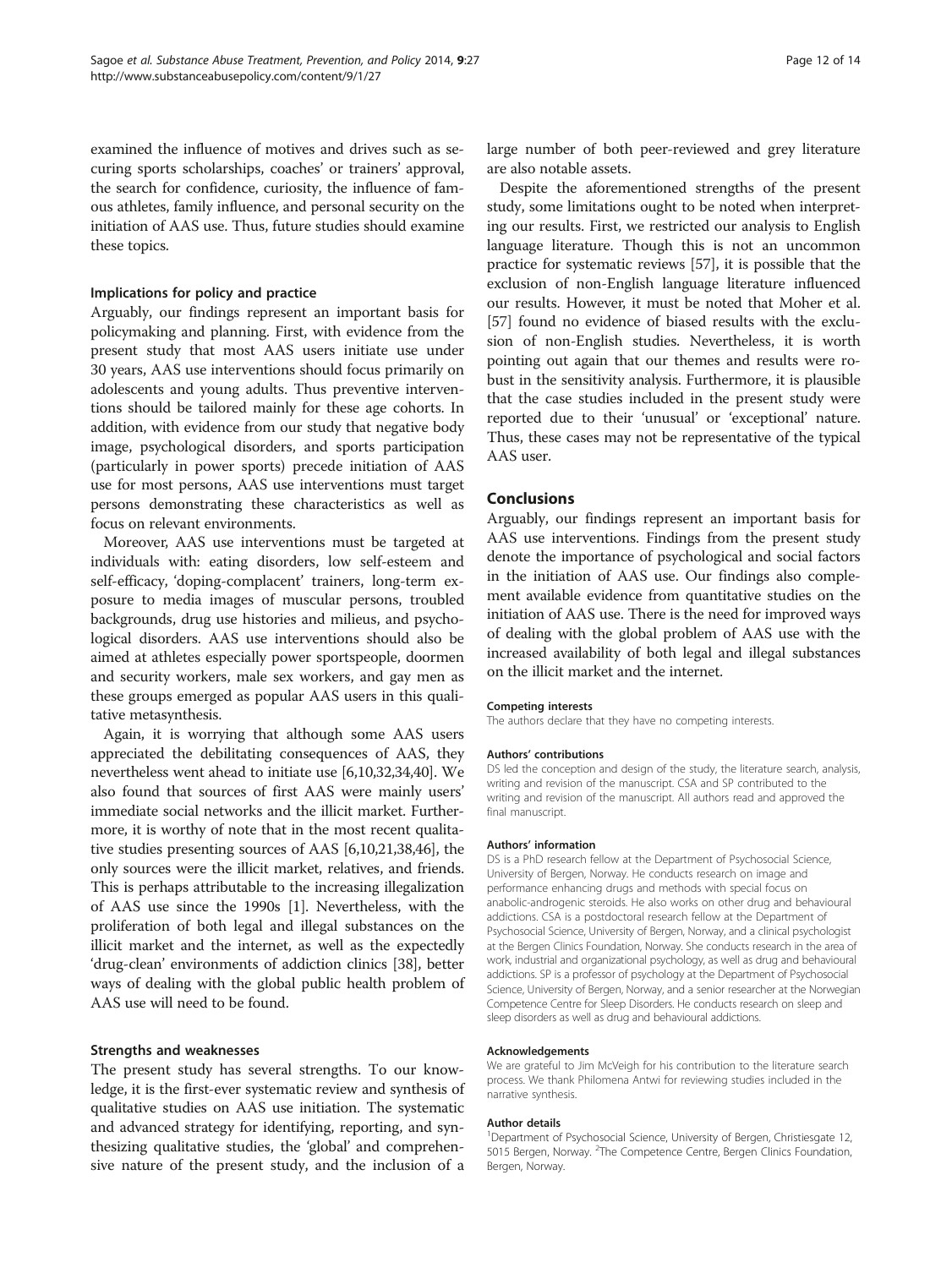examined the influence of motives and drives such as securing sports scholarships, coaches' or trainers' approval, the search for confidence, curiosity, the influence of famous athletes, family influence, and personal security on the initiation of AAS use. Thus, future studies should examine these topics.

## Implications for policy and practice

Arguably, our findings represent an important basis for policymaking and planning. First, with evidence from the present study that most AAS users initiate use under 30 years, AAS use interventions should focus primarily on adolescents and young adults. Thus preventive interventions should be tailored mainly for these age cohorts. In addition, with evidence from our study that negative body image, psychological disorders, and sports participation (particularly in power sports) precede initiation of AAS use for most persons, AAS use interventions must target persons demonstrating these characteristics as well as focus on relevant environments.

Moreover, AAS use interventions must be targeted at individuals with: eating disorders, low self-esteem and self-efficacy, 'doping-complacent' trainers, long-term exposure to media images of muscular persons, troubled backgrounds, drug use histories and milieus, and psychological disorders. AAS use interventions should also be aimed at athletes especially power sportspeople, doormen and security workers, male sex workers, and gay men as these groups emerged as popular AAS users in this qualitative metasynthesis.

Again, it is worrying that although some AAS users appreciated the debilitating consequences of AAS, they nevertheless went ahead to initiate use [[6,10,32,34,40](#page-12-0)]. We also found that sources of first AAS were mainly users' immediate social networks and the illicit market. Furthermore, it is worthy of note that in the most recent qualitative studies presenting sources of AAS [\[6,10,21,38,46\]](#page-12-0), the only sources were the illicit market, relatives, and friends. This is perhaps attributable to the increasing illegalization of AAS use since the 1990s [\[1](#page-12-0)]. Nevertheless, with the proliferation of both legal and illegal substances on the illicit market and the internet, as well as the expectedly 'drug-clean' environments of addiction clinics [[38](#page-12-0)], better ways of dealing with the global public health problem of AAS use will need to be found.

#### Strengths and weaknesses

The present study has several strengths. To our knowledge, it is the first-ever systematic review and synthesis of qualitative studies on AAS use initiation. The systematic and advanced strategy for identifying, reporting, and synthesizing qualitative studies, the 'global' and comprehensive nature of the present study, and the inclusion of a

large number of both peer-reviewed and grey literature are also notable assets.

Despite the aforementioned strengths of the present study, some limitations ought to be noted when interpreting our results. First, we restricted our analysis to English language literature. Though this is not an uncommon practice for systematic reviews [\[57\]](#page-13-0), it is possible that the exclusion of non-English language literature influenced our results. However, it must be noted that Moher et al. [[57](#page-13-0)] found no evidence of biased results with the exclusion of non-English studies. Nevertheless, it is worth pointing out again that our themes and results were robust in the sensitivity analysis. Furthermore, it is plausible that the case studies included in the present study were reported due to their 'unusual' or 'exceptional' nature. Thus, these cases may not be representative of the typical AAS user.

## **Conclusions**

Arguably, our findings represent an important basis for AAS use interventions. Findings from the present study denote the importance of psychological and social factors in the initiation of AAS use. Our findings also complement available evidence from quantitative studies on the initiation of AAS use. There is the need for improved ways of dealing with the global problem of AAS use with the increased availability of both legal and illegal substances on the illicit market and the internet.

#### Competing interests

The authors declare that they have no competing interests.

#### Authors' contributions

DS led the conception and design of the study, the literature search, analysis, writing and revision of the manuscript. CSA and SP contributed to the writing and revision of the manuscript. All authors read and approved the final manuscript.

#### Authors' information

DS is a PhD research fellow at the Department of Psychosocial Science, University of Bergen, Norway. He conducts research on image and performance enhancing drugs and methods with special focus on anabolic-androgenic steroids. He also works on other drug and behavioural addictions. CSA is a postdoctoral research fellow at the Department of Psychosocial Science, University of Bergen, Norway, and a clinical psychologist at the Bergen Clinics Foundation, Norway. She conducts research in the area of work, industrial and organizational psychology, as well as drug and behavioural addictions. SP is a professor of psychology at the Department of Psychosocial Science, University of Bergen, Norway, and a senior researcher at the Norwegian Competence Centre for Sleep Disorders. He conducts research on sleep and sleep disorders as well as drug and behavioural addictions.

#### Acknowledgements

We are grateful to Jim McVeigh for his contribution to the literature search process. We thank Philomena Antwi for reviewing studies included in the narrative synthesis.

#### Author details

<sup>1</sup>Department of Psychosocial Science, University of Bergen, Christiesgate 12, 5015 Bergen, Norway. <sup>2</sup>The Competence Centre, Bergen Clinics Foundation Bergen, Norway.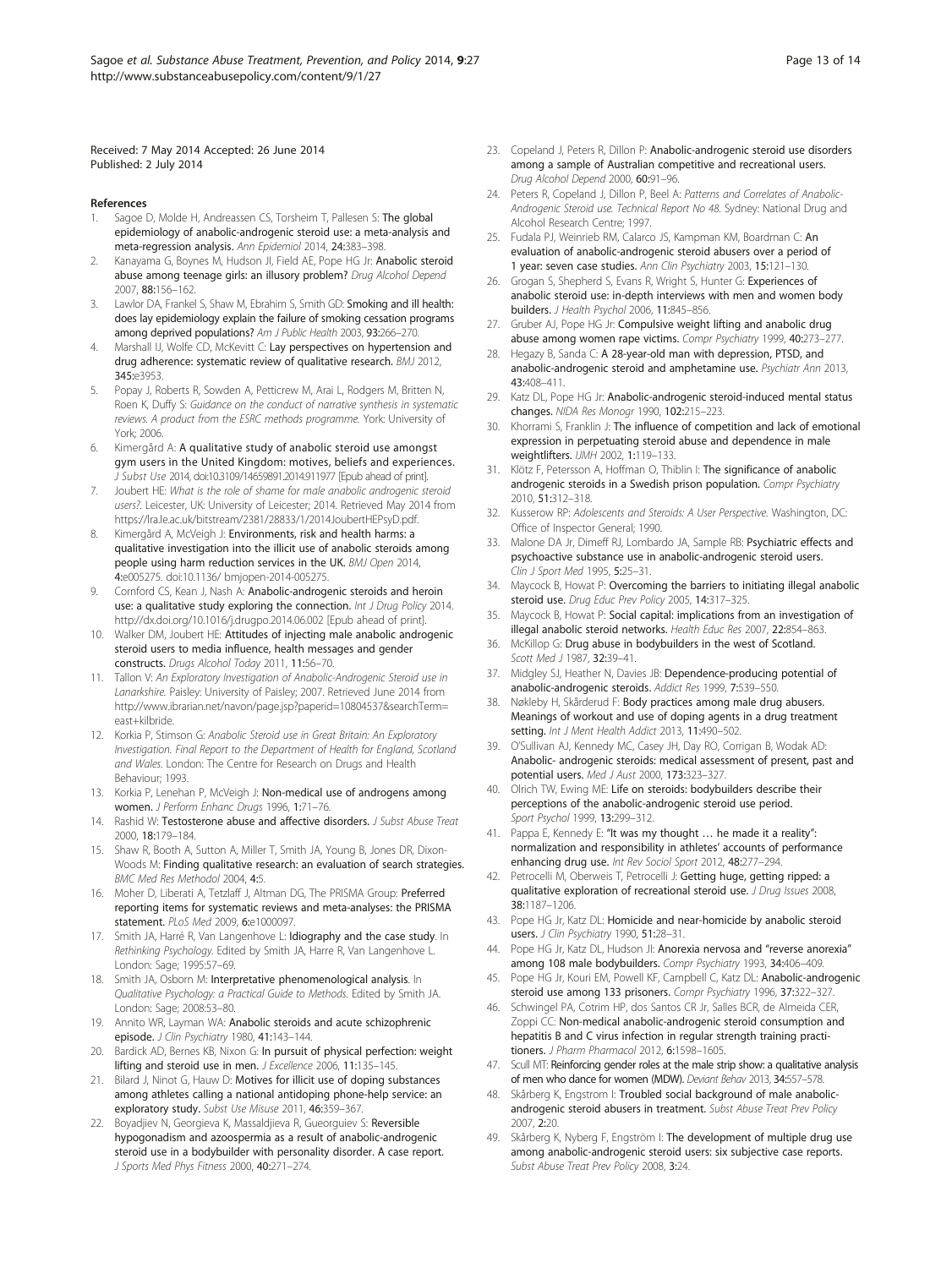<span id="page-12-0"></span>Received: 7 May 2014 Accepted: 26 June 2014 Published: 2 July 2014

#### References

- Sagoe D, Molde H, Andreassen CS, Torsheim T, Pallesen S: The global epidemiology of anabolic-androgenic steroid use: a meta-analysis and meta-regression analysis. Ann Epidemiol 2014, 24:383–398.
- Kanayama G, Boynes M, Hudson JI, Field AE, Pope HG Jr: Anabolic steroid abuse among teenage girls: an illusory problem? Drug Alcohol Depend 2007, 88:156–162.
- 3. Lawlor DA, Frankel S, Shaw M, Ebrahim S, Smith GD: Smoking and ill health: does lay epidemiology explain the failure of smoking cessation programs among deprived populations? Am J Public Health 2003, 93:266-270.
- Marshall IJ, Wolfe CD, McKevitt C: Lay perspectives on hypertension and drug adherence: systematic review of qualitative research. BMJ 2012, 345:e3953.
- 5. Popay J, Roberts R, Sowden A, Petticrew M, Arai L, Rodgers M, Britten N, Roen K, Duffy S: Guidance on the conduct of narrative synthesis in systematic reviews. A product from the ESRC methods programme. York: University of York; 2006.
- 6. Kimergård A: A qualitative study of anabolic steroid use amongst gym users in the United Kingdom: motives, beliefs and experiences. J Subst Use 2014, doi:10.3109/14659891.2014.911977 [Epub ahead of print].
- 7. Joubert HE: What is the role of shame for male anabolic androgenic steroid users?. Leicester, UK: University of Leicester; 2014. Retrieved May 2014 from [https://lra.le.ac.uk/bitstream/2381/28833/1/2014JoubertHEPsyD.pdf.](https://lra.le.ac.uk/bitstream/2381/28833/1/2014JoubertHEPsyD.pdf)
- 8. Kimergård A, McVeigh J: Environments, risk and health harms: a qualitative investigation into the illicit use of anabolic steroids among people using harm reduction services in the UK. BMJ Open 2014, 4:e005275. doi:10.1136/ bmjopen-2014-005275.
- 9. Cornford CS, Kean J, Nash A: Anabolic-androgenic steroids and heroin use: a qualitative study exploring the connection. Int J Drug Policy 2014. http://dx.doi.org/10.1016/j.drugpo.2014.06.002 [Epub ahead of print].
- 10. Walker DM, Joubert HE: Attitudes of injecting male anabolic androgenic steroid users to media influence, health messages and gender constructs. Drugs Alcohol Today 2011, 11:56–70.
- 11. Tallon V: An Exploratory Investigation of Anabolic-Androgenic Steroid use in Lanarkshire. Paisley: University of Paisley; 2007. Retrieved June 2014 from [http://www.ibrarian.net/navon/page.jsp?paperid=10804537&searchTerm=](http://www.ibrarian.net/navon/page.jsp?paperid=10804537&searchTerm=east+kilbride) [east+kilbride.](http://www.ibrarian.net/navon/page.jsp?paperid=10804537&searchTerm=east+kilbride)
- 12. Korkia P, Stimson G: Anabolic Steroid use in Great Britain: An Exploratory Investigation. Final Report to the Department of Health for England, Scotland and Wales. London: The Centre for Research on Drugs and Health Behaviour; 1993.
- 13. Korkia P, Lenehan P, McVeigh J: Non-medical use of androgens among women. J Perform Enhanc Drugs 1996, 1:71–76.
- 14. Rashid W: Testosterone abuse and affective disorders. J Subst Abuse Treat 2000, 18:179–184.
- 15. Shaw R, Booth A, Sutton A, Miller T, Smith JA, Young B, Jones DR, Dixon-Woods M: Finding qualitative research: an evaluation of search strategies. BMC Med Res Methodol 2004, 4:5.
- 16. Moher D, Liberati A, Tetzlaff J, Altman DG, The PRISMA Group: Preferred reporting items for systematic reviews and meta-analyses: the PRISMA statement. PLoS Med 2009, 6:e1000097.
- 17. Smith JA, Harré R, Van Langenhove L: Idiography and the case study. In Rethinking Psychology. Edited by Smith JA, Harre R, Van Langenhove L. London: Sage; 1995:57–69.
- Smith JA, Osborn M: Interpretative phenomenological analysis. In Qualitative Psychology: a Practical Guide to Methods. Edited by Smith JA. London: Sage; 2008:53–80.
- 19. Annito WR, Layman WA: Anabolic steroids and acute schizophrenic episode. J Clin Psychiatry 1980, 41:143-144.
- 20. Bardick AD, Bernes KB, Nixon G: In pursuit of physical perfection: weight lifting and steroid use in men. J Excellence 2006, 11:135–145.
- 21. Bilard J, Ninot G, Hauw D: Motives for illicit use of doping substances among athletes calling a national antidoping phone-help service: an exploratory study. Subst Use Misuse 2011, 46:359–367.
- 22. Boyadjiev N, Georgieva K, Massaldjieva R, Gueorguiev S: Reversible hypogonadism and azoospermia as a result of anabolic-androgenic steroid use in a bodybuilder with personality disorder. A case report. J Sports Med Phys Fitness 2000, 40:271–274.
- 23. Copeland J, Peters R, Dillon P: Anabolic-androgenic steroid use disorders among a sample of Australian competitive and recreational users. Drug Alcohol Depend 2000, 60:91–96.
- 24. Peters R, Copeland J, Dillon P, Beel A: Patterns and Correlates of Anabolic-Androgenic Steroid use. Technical Report No 48. Sydney: National Drug and Alcohol Research Centre; 1997.
- 25. Fudala PJ, Weinrieb RM, Calarco JS, Kampman KM, Boardman C: An evaluation of anabolic-androgenic steroid abusers over a period of 1 year: seven case studies. Ann Clin Psychiatry 2003, 15:121–130.
- 26. Grogan S, Shepherd S, Evans R, Wright S, Hunter G: Experiences of anabolic steroid use: in-depth interviews with men and women body builders. J Health Psychol 2006, 11:845–856.
- 27. Gruber AJ, Pope HG Jr: Compulsive weight lifting and anabolic drug abuse among women rape victims. Compr Psychiatry 1999, 40:273–277.
- 28. Hegazy B, Sanda C: A 28-year-old man with depression, PTSD, and anabolic-androgenic steroid and amphetamine use. Psychiatr Ann 2013, 43:408–411.
- 29. Katz DL, Pope HG Jr: Anabolic-androgenic steroid-induced mental status changes. NIDA Res Monogr 1990, 102:215–223.
- 30. Khorrami S, Franklin J: The influence of competition and lack of emotional expression in perpetuating steroid abuse and dependence in male weightlifters. IJMH 2002, 1:119–133.
- 31. Klötz F, Petersson A, Hoffman O, Thiblin I: The significance of anabolic androgenic steroids in a Swedish prison population. Compr Psychiatry 2010, 51:312–318.
- 32. Kusserow RP: Adolescents and Steroids: A User Perspective. Washington, DC: Office of Inspector General; 1990.
- 33. Malone DA Jr, Dimeff RJ, Lombardo JA, Sample RB: Psychiatric effects and psychoactive substance use in anabolic-androgenic steroid users. Clin J Sport Med 1995, 5:25–31.
- 34. Maycock B, Howat P: Overcoming the barriers to initiating illegal anabolic steroid use. Drug Educ Prev Policy 2005, 14:317-325.
- 35. Maycock B, Howat P: Social capital: implications from an investigation of illegal anabolic steroid networks. Health Educ Res 2007, 22:854–863.
- 36. McKillop G: Drug abuse in bodybuilders in the west of Scotland. Scott Med J 1987, 32:39-41.
- 37. Midgley SJ, Heather N, Davies JB: Dependence-producing potential of anabolic-androgenic steroids. Addict Res 1999, 7:539–550.
- 38. Nøkleby H, Skårderud F: Body practices among male drug abusers. Meanings of workout and use of doping agents in a drug treatment setting. Int J Ment Health Addict 2013, 11:490–502.
- 39. O'Sullivan AJ, Kennedy MC, Casey JH, Day RO, Corrigan B, Wodak AD: Anabolic- androgenic steroids: medical assessment of present, past and potential users. Med J Aust 2000, 173:323–327.
- 40. Olrich TW, Ewing ME: Life on steroids: bodybuilders describe their perceptions of the anabolic-androgenic steroid use period. Sport Psychol 1999, 13:299–312.
- 41. Pappa E, Kennedy E: "It was my thought ... he made it a reality": normalization and responsibility in athletes' accounts of performance enhancing drug use. Int Rev Sociol Sport 2012, 48:277-294.
- 42. Petrocelli M, Oberweis T, Petrocelli J: Getting huge, getting ripped: a qualitative exploration of recreational steroid use. J Drug Issues 2008, 38:1187–1206.
- 43. Pope HG Jr, Katz DL: Homicide and near-homicide by anabolic steroid users. J Clin Psychiatry 1990, 51:28-31.
- 44. Pope HG Jr, Katz DL, Hudson JI: Anorexia nervosa and "reverse anorexia" among 108 male bodybuilders. Compr Psychiatry 1993, 34:406-409.
- 45. Pope HG Jr, Kouri EM, Powell KF, Campbell C, Katz DL: Anabolic-androgenic steroid use among 133 prisoners. Compr Psychiatry 1996, 37:322–327.
- 46. Schwingel PA, Cotrim HP, dos Santos CR Jr, Salles BCR, de Almeida CER, Zoppi CC: Non-medical anabolic-androgenic steroid consumption and hepatitis B and C virus infection in regular strength training practitioners. J Pharm Pharmacol 2012, 6:1598–1605.
- 47. Scull MT: Reinforcing gender roles at the male strip show: a qualitative analysis of men who dance for women (MDW). Deviant Behav 2013, 34:557–578.
- 48. Skårberg K, Engstrom I: Troubled social background of male anabolicandrogenic steroid abusers in treatment. Subst Abuse Treat Prev Policy 2007, 2:20.
- 49. Skårberg K, Nyberg F, Engström I: The development of multiple drug use among anabolic-androgenic steroid users: six subjective case reports. Subst Abuse Treat Prev Policy 2008, 3:24.